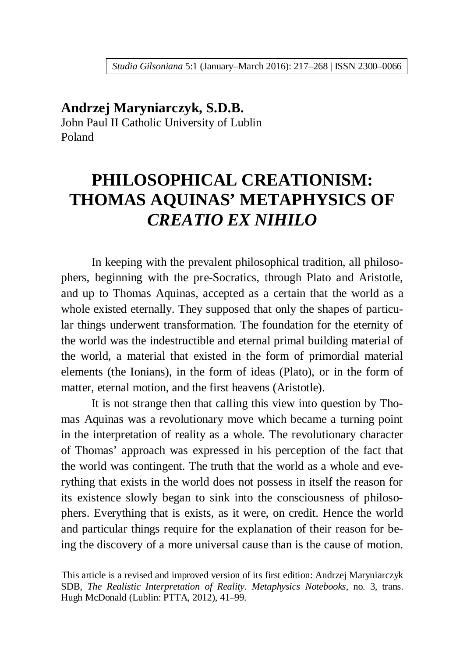# **Andrzej Maryniarczyk, S.D.B.**

John Paul II Catholic University of Lublin Poland

# **PHILOSOPHICAL CREATIONISM: THOMAS AQUINAS' METAPHYSICS OF**  *CREATIO EX NIHILO*

In keeping with the prevalent philosophical tradition, all philosophers, beginning with the pre-Socratics, through Plato and Aristotle, and up to Thomas Aquinas, accepted as a certain that the world as a whole existed eternally. They supposed that only the shapes of particular things underwent transformation. The foundation for the eternity of the world was the indestructible and eternal primal building material of the world, a material that existed in the form of primordial material elements (the Ionians), in the form of ideas (Plato), or in the form of matter, eternal motion, and the first heavens (Aristotle).

It is not strange then that calling this view into question by Thomas Aquinas was a revolutionary move which became a turning point in the interpretation of reality as a whole. The revolutionary character of Thomas' approach was expressed in his perception of the fact that the world was contingent. The truth that the world as a whole and everything that exists in the world does not possess in itself the reason for its existence slowly began to sink into the consciousness of philosophers. Everything that is exists, as it were, on credit. Hence the world and particular things require for the explanation of their reason for being the discovery of a more universal cause than is the cause of motion.

1

This article is a revised and improved version of its first edition: Andrzej Maryniarczyk SDB, *The Realistic Interpretation of Reality. Metaphysics Notebooks*, no. 3, trans. Hugh McDonald (Lublin: PTTA, 2012), 41–99.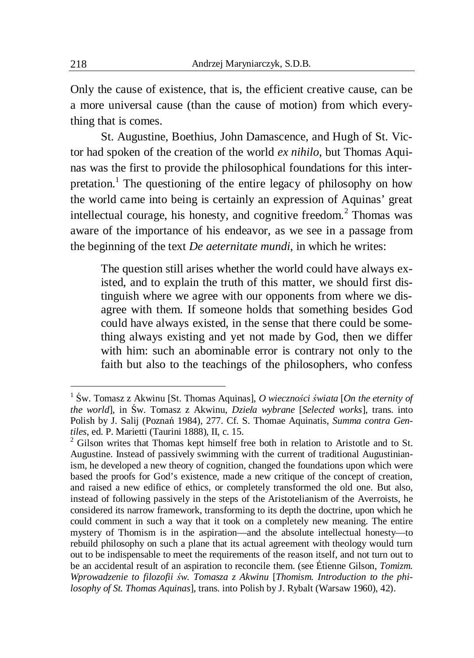Only the cause of existence, that is, the efficient creative cause, can be a more universal cause (than the cause of motion) from which everything that is comes.

St. Augustine, Boethius, John Damascence, and Hugh of St. Victor had spoken of the creation of the world *ex nihilo*, but Thomas Aquinas was the first to provide the philosophical foundations for this interpretation.<sup>1</sup> The questioning of the entire legacy of philosophy on how the world came into being is certainly an expression of Aquinas' great intellectual courage, his honesty, and cognitive freedom.<sup>2</sup> Thomas was aware of the importance of his endeavor, as we see in a passage from the beginning of the text *De aeternitate mundi*, in which he writes:

The question still arises whether the world could have always existed, and to explain the truth of this matter, we should first distinguish where we agree with our opponents from where we disagree with them. If someone holds that something besides God could have always existed, in the sense that there could be something always existing and yet not made by God, then we differ with him: such an abominable error is contrary not only to the faith but also to the teachings of the philosophers, who confess

 1 ĝw. Tomasz z Akwinu [St. Thomas Aquinas], *O wiecznoĞci Ğwiata* [*On the eternity of the world*], in ĝw. Tomasz z Akwinu, *Dzieáa wybrane* [*Selected works*], trans. into Polish by J. Salij (Poznań 1984), 277. Cf. S. Thomae Aquinatis, *Summa contra Gentiles*, ed. P. Marietti (Taurini 1888), II, c. 15.

 $2$  Gilson writes that Thomas kept himself free both in relation to Aristotle and to St. Augustine. Instead of passively swimming with the current of traditional Augustinianism, he developed a new theory of cognition, changed the foundations upon which were based the proofs for God's existence, made a new critique of the concept of creation, and raised a new edifice of ethics, or completely transformed the old one. But also, instead of following passively in the steps of the Aristotelianism of the Averroists, he considered its narrow framework, transforming to its depth the doctrine, upon which he could comment in such a way that it took on a completely new meaning. The entire mystery of Thomism is in the aspiration—and the absolute intellectual honesty—to rebuild philosophy on such a plane that its actual agreement with theology would turn out to be indispensable to meet the requirements of the reason itself, and not turn out to be an accidental result of an aspiration to reconcile them. (see Étienne Gilson, *Tomizm. Wprowadzenie to filozofii Ğw. Tomasza z Akwinu* [*Thomism. Introduction to the philosophy of St. Thomas Aquinas*], trans. into Polish by J. Rybalt (Warsaw 1960), 42).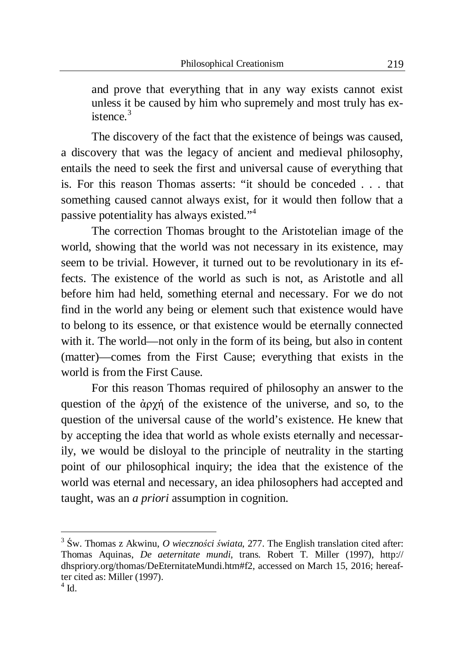and prove that everything that in any way exists cannot exist unless it be caused by him who supremely and most truly has existence  $3$ 

The discovery of the fact that the existence of beings was caused, a discovery that was the legacy of ancient and medieval philosophy, entails the need to seek the first and universal cause of everything that is. For this reason Thomas asserts: "it should be conceded . . . that something caused cannot always exist, for it would then follow that a passive potentiality has always existed."<sup>4</sup>

The correction Thomas brought to the Aristotelian image of the world, showing that the world was not necessary in its existence, may seem to be trivial. However, it turned out to be revolutionary in its effects. The existence of the world as such is not, as Aristotle and all before him had held, something eternal and necessary. For we do not find in the world any being or element such that existence would have to belong to its essence, or that existence would be eternally connected with it. The world—not only in the form of its being, but also in content (matter)—comes from the First Cause; everything that exists in the world is from the First Cause.

For this reason Thomas required of philosophy an answer to the question of the  $\dot{\alpha}$ <sub>2</sub> $\gamma$ <sup>6</sup> of the existence of the universe, and so, to the question of the universal cause of the world's existence. He knew that by accepting the idea that world as whole exists eternally and necessarily, we would be disloyal to the principle of neutrality in the starting point of our philosophical inquiry; the idea that the existence of the world was eternal and necessary, an idea philosophers had accepted and taught, was an *a priori* assumption in cognition.

 3 ĝw. Thomas z Akwinu, *O wiecznoĞci Ğwiata*, 277. The English translation cited after: Thomas Aquinas, *De aeternitate mundi*, trans. Robert T. Miller (1997), http:// dhspriory.org/thomas/DeEternitateMundi.htm#f2, accessed on March 15, 2016; hereafter cited as: Miller (1997).

 $4$  Id.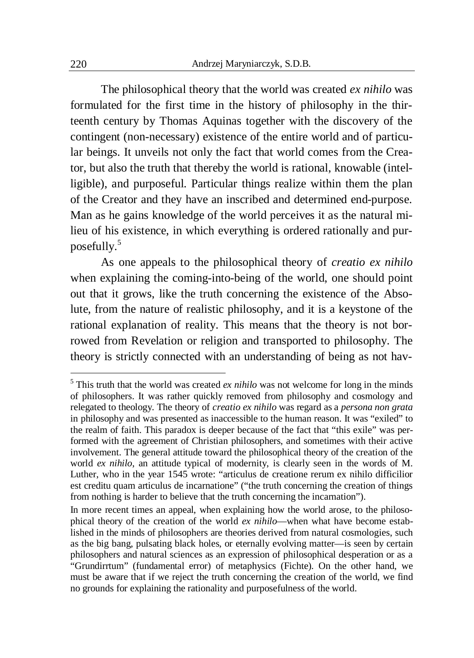The philosophical theory that the world was created *ex nihilo* was formulated for the first time in the history of philosophy in the thirteenth century by Thomas Aquinas together with the discovery of the contingent (non-necessary) existence of the entire world and of particular beings. It unveils not only the fact that world comes from the Creator, but also the truth that thereby the world is rational, knowable (intelligible), and purposeful. Particular things realize within them the plan of the Creator and they have an inscribed and determined end-purpose. Man as he gains knowledge of the world perceives it as the natural milieu of his existence, in which everything is ordered rationally and purposefully.<sup>5</sup>

As one appeals to the philosophical theory of *creatio ex nihilo* when explaining the coming-into-being of the world, one should point out that it grows, like the truth concerning the existence of the Absolute, from the nature of realistic philosophy, and it is a keystone of the rational explanation of reality. This means that the theory is not borrowed from Revelation or religion and transported to philosophy. The theory is strictly connected with an understanding of being as not hav-

 $<sup>5</sup>$  This truth that the world was created *ex nihilo* was not welcome for long in the minds</sup> of philosophers. It was rather quickly removed from philosophy and cosmology and relegated to theology. The theory of *creatio ex nihilo* was regard as a *persona non grata* in philosophy and was presented as inaccessible to the human reason. It was "exiled" to the realm of faith. This paradox is deeper because of the fact that "this exile" was performed with the agreement of Christian philosophers, and sometimes with their active involvement. The general attitude toward the philosophical theory of the creation of the world *ex nihilo*, an attitude typical of modernity, is clearly seen in the words of M. Luther, who in the year 1545 wrote: "articulus de creatione rerum ex nihilo difficilior est creditu quam articulus de incarnatione" ("the truth concerning the creation of things from nothing is harder to believe that the truth concerning the incarnation").

In more recent times an appeal, when explaining how the world arose, to the philosophical theory of the creation of the world *ex nihilo*—when what have become established in the minds of philosophers are theories derived from natural cosmologies, such as the big bang, pulsating black holes, or eternally evolving matter—is seen by certain philosophers and natural sciences as an expression of philosophical desperation or as a "Grundirrtum" (fundamental error) of metaphysics (Fichte). On the other hand, we must be aware that if we reject the truth concerning the creation of the world, we find no grounds for explaining the rationality and purposefulness of the world.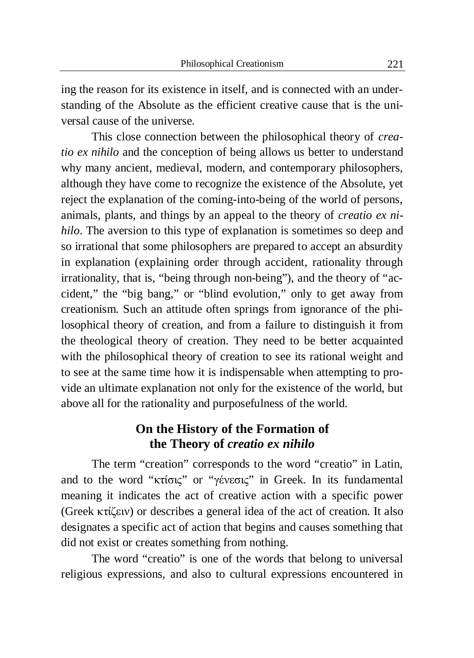ing the reason for its existence in itself, and is connected with an understanding of the Absolute as the efficient creative cause that is the universal cause of the universe.

This close connection between the philosophical theory of *creatio ex nihilo* and the conception of being allows us better to understand why many ancient, medieval, modern, and contemporary philosophers, although they have come to recognize the existence of the Absolute, yet reject the explanation of the coming-into-being of the world of persons, animals, plants, and things by an appeal to the theory of *creatio ex nihilo*. The aversion to this type of explanation is sometimes so deep and so irrational that some philosophers are prepared to accept an absurdity in explanation (explaining order through accident, rationality through irrationality, that is, "being through non-being"), and the theory of "accident," the "big bang," or "blind evolution," only to get away from creationism. Such an attitude often springs from ignorance of the philosophical theory of creation, and from a failure to distinguish it from the theological theory of creation. They need to be better acquainted with the philosophical theory of creation to see its rational weight and to see at the same time how it is indispensable when attempting to provide an ultimate explanation not only for the existence of the world, but above all for the rationality and purposefulness of the world.

# **On the History of the Formation of the Theory of** *creatio ex nihilo*

The term "creation" corresponds to the word "creatio" in Latin, and to the word "κτίσις" or "γένεσις" in Greek. In its fundamental meaning it indicates the act of creative action with a specific power (Greek  $\kappa \tau$ i $\zeta \epsilon$ iv) or describes a general idea of the act of creation. It also designates a specific act of action that begins and causes something that did not exist or creates something from nothing.

The word "creatio" is one of the words that belong to universal religious expressions, and also to cultural expressions encountered in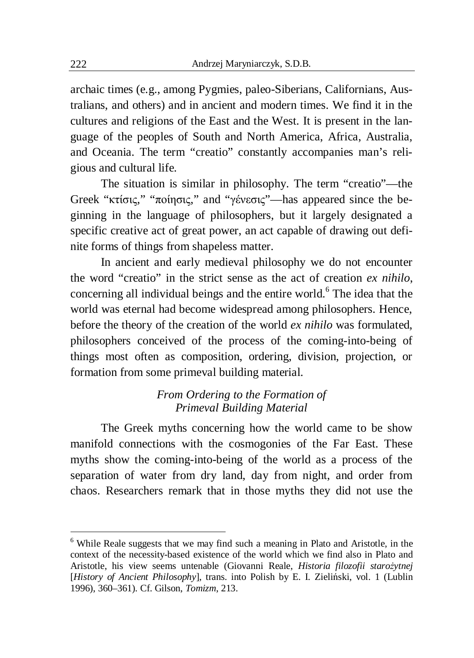archaic times (e.g., among Pygmies, paleo-Siberians, Californians, Australians, and others) and in ancient and modern times. We find it in the cultures and religions of the East and the West. It is present in the language of the peoples of South and North America, Africa, Australia, and Oceania. The term "creatio" constantly accompanies man's religious and cultural life.

The situation is similar in philosophy. The term "creatio"—the Greek "κτίσις," "ποίησις," and "γένεσις"—has appeared since the beginning in the language of philosophers, but it largely designated a specific creative act of great power, an act capable of drawing out definite forms of things from shapeless matter.

In ancient and early medieval philosophy we do not encounter the word "creatio" in the strict sense as the act of creation *ex nihilo*, concerning all individual beings and the entire world.<sup>6</sup> The idea that the world was eternal had become widespread among philosophers. Hence, before the theory of the creation of the world *ex nihilo* was formulated, philosophers conceived of the process of the coming-into-being of things most often as composition, ordering, division, projection, or formation from some primeval building material.

## *From Ordering to the Formation of Primeval Building Material*

The Greek myths concerning how the world came to be show manifold connections with the cosmogonies of the Far East. These myths show the coming-into-being of the world as a process of the separation of water from dry land, day from night, and order from chaos. Researchers remark that in those myths they did not use the

<sup>&</sup>lt;sup>6</sup> While Reale suggests that we may find such a meaning in Plato and Aristotle, in the context of the necessity-based existence of the world which we find also in Plato and Aristotle, his view seems untenable (Giovanni Reale, *Historia filozofii starożytnej* [*History of Ancient Philosophy*], trans. into Polish by E. I. Zieliński, vol. 1 (Lublin 1996), 360–361). Cf. Gilson, *Tomizm*, 213.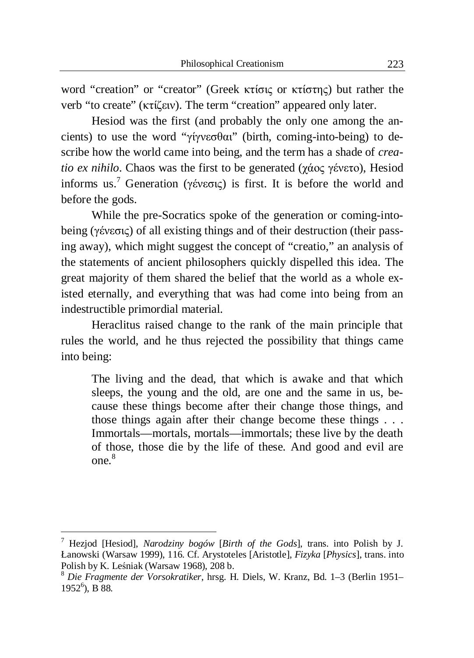word "creation" or "creator" (Greek κτίσις or κτίστης) but rather the verb "to create" ( $\kappa \tau i(\xi \in \mathbb{W})$ ). The term "creation" appeared only later.

Hesiod was the first (and probably the only one among the ancients) to use the word " $\gamma$ i $\gamma$ v $\epsilon$  $\sigma$  $\theta$  $\alpha$ " (birth, coming-into-being) to describe how the world came into being, and the term has a shade of *creatio ex nihilo*. Chaos was the first to be generated (γάος γένετο), Hesiod informs us.<sup>7</sup> Generation ( $\gamma \text{\'{e}vec}$ ) is first. It is before the world and before the gods.

While the pre-Socratics spoke of the generation or coming-intobeing ( $\gamma \acute{\text{e}}$ νεσις) of all existing things and of their destruction (their passing away), which might suggest the concept of "creatio," an analysis of the statements of ancient philosophers quickly dispelled this idea. The great majority of them shared the belief that the world as a whole existed eternally, and everything that was had come into being from an indestructible primordial material.

Heraclitus raised change to the rank of the main principle that rules the world, and he thus rejected the possibility that things came into being:

The living and the dead, that which is awake and that which sleeps, the young and the old, are one and the same in us, because these things become after their change those things, and those things again after their change become these things . . . Immortals—mortals, mortals—immortals; these live by the death of those, those die by the life of these. And good and evil are  $one.<sup>8</sup>$ 

<sup>7</sup> Hezjod [Hesiod], *Narodziny bogów* [*Birth of the Gods*], trans. into Polish by J. àanowski (Warsaw 1999), 116. Cf. Arystoteles [Aristotle], *Fizyka* [*Physics*], trans. into Polish by K. LeĞniak (Warsaw 1968), 208 b.

<sup>8</sup> *Die Fragmente der Vorsokratiker*, hrsg. H. Diels, W. Kranz, Bd. 1–3 (Berlin 1951– 1952<sup>6</sup>), B 88.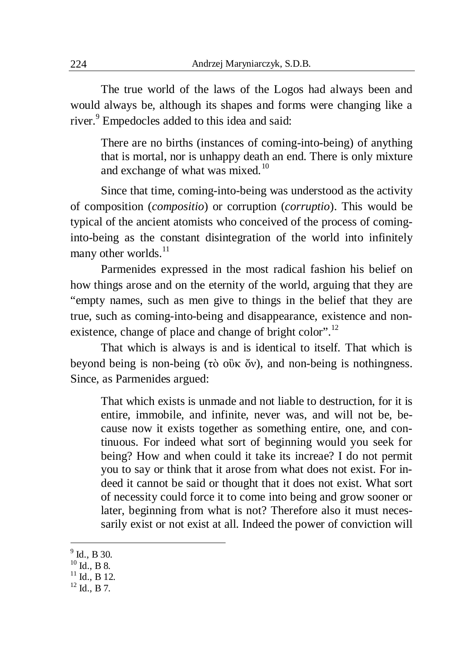The true world of the laws of the Logos had always been and would always be, although its shapes and forms were changing like a river.<sup>9</sup> Empedocles added to this idea and said:

There are no births (instances of coming-into-being) of anything that is mortal, nor is unhappy death an end. There is only mixture and exchange of what was mixed.<sup>10</sup>

Since that time, coming-into-being was understood as the activity of composition (*compositio*) or corruption (*corruptio*). This would be typical of the ancient atomists who conceived of the process of cominginto-being as the constant disintegration of the world into infinitely many other worlds.<sup>11</sup>

Parmenides expressed in the most radical fashion his belief on how things arose and on the eternity of the world, arguing that they are "empty names, such as men give to things in the belief that they are true, such as coming-into-being and disappearance, existence and nonexistence, change of place and change of bright color".<sup>12</sup>

That which is always is and is identical to itself. That which is beyond being is non-being  $(\tau\delta \text{ o} \delta \kappa \delta v)$ , and non-being is nothingness. Since, as Parmenides argued:

That which exists is unmade and not liable to destruction, for it is entire, immobile, and infinite, never was, and will not be, because now it exists together as something entire, one, and continuous. For indeed what sort of beginning would you seek for being? How and when could it take its increae? I do not permit you to say or think that it arose from what does not exist. For indeed it cannot be said or thought that it does not exist. What sort of necessity could force it to come into being and grow sooner or later, beginning from what is not? Therefore also it must necessarily exist or not exist at all. Indeed the power of conviction will

 $<sup>9</sup>$  Id., B 30.</sup>

 $10$  Id., B 8.

 $11$  Id., B 12.

 $12$  Id., B 7.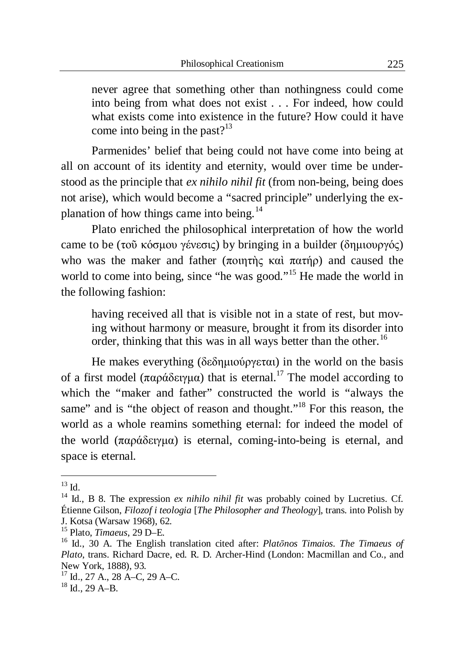never agree that something other than nothingness could come into being from what does not exist . . . For indeed, how could what exists come into existence in the future? How could it have come into being in the past? $13$ 

Parmenides' belief that being could not have come into being at all on account of its identity and eternity, would over time be understood as the principle that *ex nihilo nihil fit* (from non-being, being does not arise), which would become a "sacred principle" underlying the explanation of how things came into being.<sup>14</sup>

Plato enriched the philosophical interpretation of how the world came to be (τοῦ κόσμου γένεσις) by bringing in a builder (δημιουργός) who was the maker and father  $(\pi \circ \eta)$   $\pi \circ \pi$   $(\pi \circ \eta)$  and caused the world to come into being, since "he was good."<sup>15</sup> He made the world in the following fashion:

having received all that is visible not in a state of rest, but moving without harmony or measure, brought it from its disorder into order, thinking that this was in all ways better than the other.<sup>16</sup>

He makes everything (δεδημιούργεται) in the world on the basis of a first model (παράδειγμα) that is eternal.<sup>17</sup> The model according to which the "maker and father" constructed the world is "always the same" and is "the object of reason and thought."<sup>18</sup> For this reason, the world as a whole reamins something eternal: for indeed the model of the world  $(\pi \alpha \beta \hat{\alpha})$  is eternal, coming-into-being is eternal, and space is eternal.

<sup>&</sup>lt;u>.</u>  $^{13}$  Id.

<sup>&</sup>lt;sup>14</sup> Id., B 8. The expression *ex nihilo nihil fit* was probably coined by Lucretius. Cf. Étienne Gilson, *Filozof i teologia* [*The Philosopher and Theology*], trans. into Polish by J. Kotsa (Warsaw 1968), 62.

<sup>15</sup> Plato, *Timaeus*, 29 D–E.

<sup>&</sup>lt;sup>16</sup> Id., 30 A. The English translation cited after: *Platonos Timaios. The Timaeus of Plato*, trans. Richard Dacre, ed. R. D. Archer-Hind (London: Macmillan and Co., and New York, 1888), 93.

<sup>17</sup> Id., 27 A., 28 A–C, 29 A–C.

 $18$  Id., 29 A–B.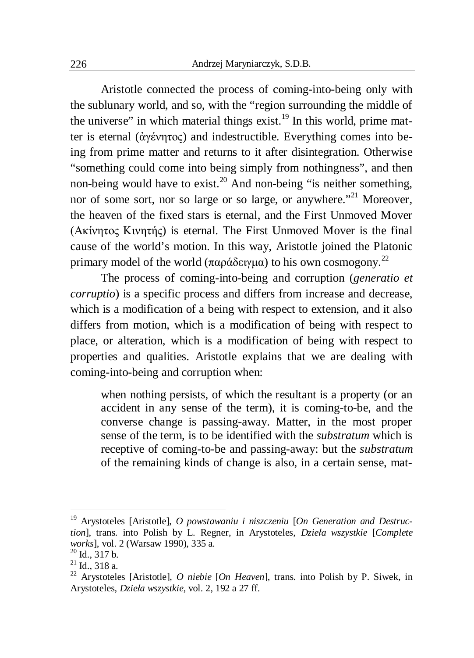Aristotle connected the process of coming-into-being only with the sublunary world, and so, with the "region surrounding the middle of the universe" in which material things exist.<sup>19</sup> In this world, prime matter is eternal (άγένητος) and indestructible. Everything comes into being from prime matter and returns to it after disintegration. Otherwise "something could come into being simply from nothingness", and then non-being would have to exist.<sup>20</sup> And non-being "is neither something, nor of some sort, nor so large or so large, or anywhere."<sup>21</sup> Moreover, the heaven of the fixed stars is eternal, and the First Unmoved Mover (Aκίνητος Κινητής) is eternal. The First Unmoved Mover is the final cause of the world's motion. In this way, Aristotle joined the Platonic primary model of the world (παράδειγμα) to his own cosmogony.<sup>22</sup>

The process of coming-into-being and corruption (*generatio et corruptio*) is a specific process and differs from increase and decrease, which is a modification of a being with respect to extension, and it also differs from motion, which is a modification of being with respect to place, or alteration, which is a modification of being with respect to properties and qualities. Aristotle explains that we are dealing with coming-into-being and corruption when:

when nothing persists, of which the resultant is a property (or an accident in any sense of the term), it is coming-to-be, and the converse change is passing-away. Matter, in the most proper sense of the term, is to be identified with the *substratum* which is receptive of coming-to-be and passing-away: but the *substratum* of the remaining kinds of change is also, in a certain sense, mat-

1

<sup>19</sup> Arystoteles [Aristotle], *O powstawaniu i niszczeniu* [*On Generation and Destruction*], trans. into Polish by L. Regner, in Arystoteles, *Dzieáa wszystkie* [*Complete works*], vol. 2 (Warsaw 1990), 335 a.

 $^{20}$  Id., 317 b.

 $21$  Id., 318 a.

<sup>22</sup> Arystoteles [Aristotle], *O niebie* [*On Heaven*], trans. into Polish by P. Siwek, in Arystoteles, *Dzieáa wszystkie*, vol. 2, 192 a 27 ff.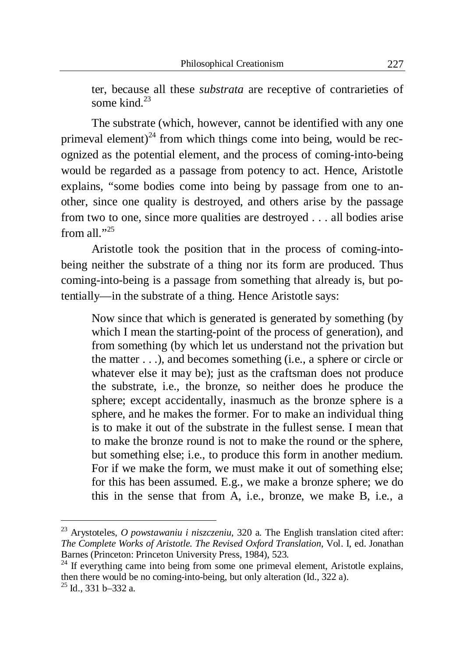ter, because all these *substrata* are receptive of contrarieties of some kind $^{23}$ 

The substrate (which, however, cannot be identified with any one primeval element)<sup>24</sup> from which things come into being, would be recognized as the potential element, and the process of coming-into-being would be regarded as a passage from potency to act. Hence, Aristotle explains, "some bodies come into being by passage from one to another, since one quality is destroyed, and others arise by the passage from two to one, since more qualities are destroyed . . . all bodies arise from all $"^{25}$ 

Aristotle took the position that in the process of coming-intobeing neither the substrate of a thing nor its form are produced. Thus coming-into-being is a passage from something that already is, but potentially—in the substrate of a thing. Hence Aristotle says:

Now since that which is generated is generated by something (by which I mean the starting-point of the process of generation), and from something (by which let us understand not the privation but the matter . . .), and becomes something (i.e., a sphere or circle or whatever else it may be); just as the craftsman does not produce the substrate, i.e., the bronze, so neither does he produce the sphere; except accidentally, inasmuch as the bronze sphere is a sphere, and he makes the former. For to make an individual thing is to make it out of the substrate in the fullest sense. I mean that to make the bronze round is not to make the round or the sphere, but something else; i.e., to produce this form in another medium. For if we make the form, we must make it out of something else; for this has been assumed. E.g., we make a bronze sphere; we do this in the sense that from A, i.e., bronze, we make B, i.e., a

<sup>23</sup> Arystoteles, *O powstawaniu i niszczeniu*, 320 a. The English translation cited after: *The Complete Works of Aristotle. The Revised Oxford Translation*, Vol. I, ed. Jonathan Barnes (Princeton: Princeton University Press, 1984), 523.

 $24$  If everything came into being from some one primeval element, Aristotle explains, then there would be no coming-into-being, but only alteration (Id., 322 a).  $^{25}$  Id., 331 b–332 a.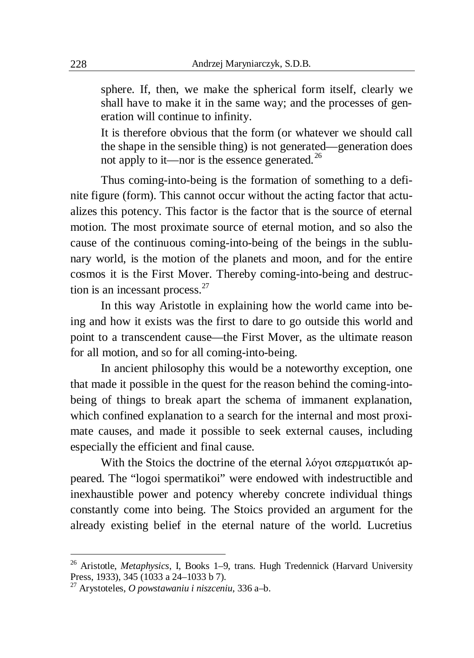sphere. If, then, we make the spherical form itself, clearly we shall have to make it in the same way; and the processes of generation will continue to infinity.

It is therefore obvious that the form (or whatever we should call the shape in the sensible thing) is not generated—generation does not apply to it—nor is the essence generated.<sup>26</sup>

Thus coming-into-being is the formation of something to a definite figure (form). This cannot occur without the acting factor that actualizes this potency. This factor is the factor that is the source of eternal motion. The most proximate source of eternal motion, and so also the cause of the continuous coming-into-being of the beings in the sublunary world, is the motion of the planets and moon, and for the entire cosmos it is the First Mover. Thereby coming-into-being and destruction is an incessant process. $27$ 

In this way Aristotle in explaining how the world came into being and how it exists was the first to dare to go outside this world and point to a transcendent cause—the First Mover, as the ultimate reason for all motion, and so for all coming-into-being.

In ancient philosophy this would be a noteworthy exception, one that made it possible in the quest for the reason behind the coming-intobeing of things to break apart the schema of immanent explanation, which confined explanation to a search for the internal and most proximate causes, and made it possible to seek external causes, including especially the efficient and final cause.

With the Stoics the doctrine of the eternal  $\lambda$ όγοι σπερματικόι appeared. The "logoi spermatikoi" were endowed with indestructible and inexhaustible power and potency whereby concrete individual things constantly come into being. The Stoics provided an argument for the already existing belief in the eternal nature of the world. Lucretius

<sup>26</sup> Aristotle, *Metaphysics*, I, Books 1–9, trans. Hugh Tredennick (Harvard University Press, 1933), 345 (1033 a 24–1033 b 7).

<sup>27</sup> Arystoteles, *O powstawaniu i niszceniu*, 336 a–b.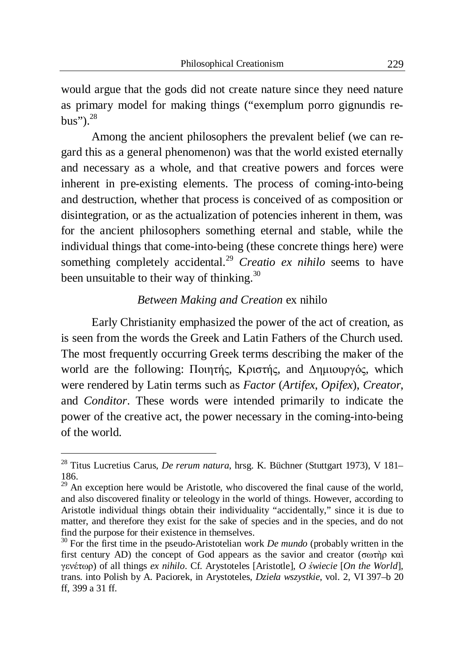would argue that the gods did not create nature since they need nature as primary model for making things ("exemplum porro gignundis rebus" $)$ .<sup>28</sup>

Among the ancient philosophers the prevalent belief (we can regard this as a general phenomenon) was that the world existed eternally and necessary as a whole, and that creative powers and forces were inherent in pre-existing elements. The process of coming-into-being and destruction, whether that process is conceived of as composition or disintegration, or as the actualization of potencies inherent in them, was for the ancient philosophers something eternal and stable, while the individual things that come-into-being (these concrete things here) were something completely accidental.<sup>29</sup> *Creatio ex nihilo* seems to have been unsuitable to their way of thinking. $30$ 

## *Between Making and Creation* ex nihilo

Early Christianity emphasized the power of the act of creation, as is seen from the words the Greek and Latin Fathers of the Church used. The most frequently occurring Greek terms describing the maker of the world are the following: Ποιητής, Κριστής, and Δημιουργός, which were rendered by Latin terms such as *Factor* (*Artifex*, *Opifex*), *Creator*, and *Conditor*. These words were intended primarily to indicate the power of the creative act, the power necessary in the coming-into-being of the world.

<sup>28</sup> Titus Lucretius Carus, *De rerum natura*, hrsg. K. Büchner (Stuttgart 1973), V 181– 186.

 $29$  An exception here would be Aristotle, who discovered the final cause of the world, and also discovered finality or teleology in the world of things. However, according to Aristotle individual things obtain their individuality "accidentally," since it is due to matter, and therefore they exist for the sake of species and in the species, and do not find the purpose for their existence in themselves.

<sup>30</sup> For the first time in the pseudo-Aristotelian work *De mundo* (probably written in the first century AD) the concept of God appears as the savior and creator ( $\sigma \omega \tau \eta \rho$   $\kappa \alpha \tau$ ) ȖİȞȑIJȦȡ) of all things *ex nihilo*. Cf. Arystoteles [Aristotle], *O Ğwiecie* [*On the World*], trans. into Polish by A. Paciorek, in Arystoteles, *Dzieáa wszystkie*, vol. 2, VI 397–b 20 ff, 399 a 31 ff.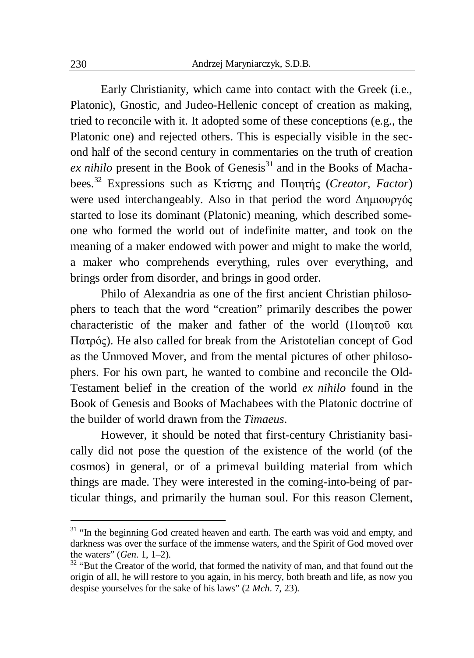Early Christianity, which came into contact with the Greek (i.e., Platonic), Gnostic, and Judeo-Hellenic concept of creation as making, tried to reconcile with it. It adopted some of these conceptions (e.g., the Platonic one) and rejected others. This is especially visible in the second half of the second century in commentaries on the truth of creation  $ex$  *nihilo* present in the Book of Genesis<sup>31</sup> and in the Books of Machabees.<sup>32</sup> Expressions such as Κτίστης and Ποιητής (*Creator*, *Factor*) were used interchangeably. Also in that period the word  $\Delta$ ημιουργός started to lose its dominant (Platonic) meaning, which described someone who formed the world out of indefinite matter, and took on the meaning of a maker endowed with power and might to make the world, a maker who comprehends everything, rules over everything, and brings order from disorder, and brings in good order.

Philo of Alexandria as one of the first ancient Christian philosophers to teach that the word "creation" primarily describes the power characteristic of the maker and father of the world ( $\Pi$ omto $\tilde{\nu}$   $\kappa$   $\alpha$  $Πατρός)$ . He also called for break from the Aristotelian concept of God as the Unmoved Mover, and from the mental pictures of other philosophers. For his own part, he wanted to combine and reconcile the Old-Testament belief in the creation of the world *ex nihilo* found in the Book of Genesis and Books of Machabees with the Platonic doctrine of the builder of world drawn from the *Timaeus*.

However, it should be noted that first-century Christianity basically did not pose the question of the existence of the world (of the cosmos) in general, or of a primeval building material from which things are made. They were interested in the coming-into-being of particular things, and primarily the human soul. For this reason Clement,

<sup>&</sup>lt;sup>31</sup> "In the beginning God created heaven and earth. The earth was void and empty, and darkness was over the surface of the immense waters, and the Spirit of God moved over the waters" (*Gen*. 1, 1–2).

 $32$  "But the Creator of the world, that formed the nativity of man, and that found out the origin of all, he will restore to you again, in his mercy, both breath and life, as now you despise yourselves for the sake of his laws" (2 *Mch*. 7, 23).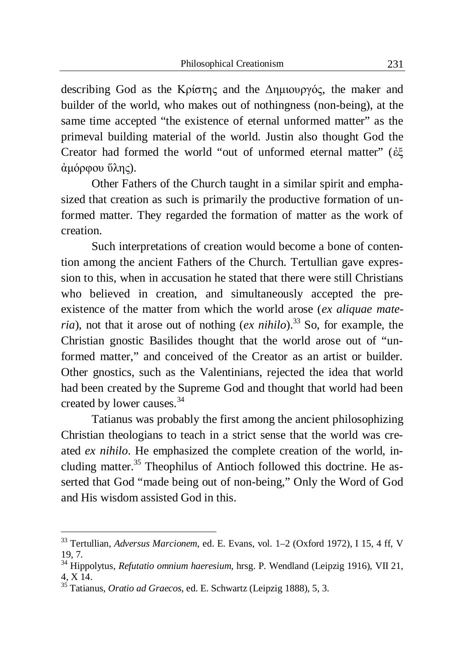describing God as the Κρίστης and the Δημιουργός, the maker and builder of the world, who makes out of nothingness (non-being), at the same time accepted "the existence of eternal unformed matter" as the primeval building material of the world. Justin also thought God the Creator had formed the world "out of unformed eternal matter" ( $\epsilon \xi$ άμόρφου ΰλης).

Other Fathers of the Church taught in a similar spirit and emphasized that creation as such is primarily the productive formation of unformed matter. They regarded the formation of matter as the work of creation.

Such interpretations of creation would become a bone of contention among the ancient Fathers of the Church. Tertullian gave expression to this, when in accusation he stated that there were still Christians who believed in creation, and simultaneously accepted the preexistence of the matter from which the world arose (*ex aliquae materia*), not that it arose out of nothing (*ex nihilo*).<sup>33</sup> So, for example, the Christian gnostic Basilides thought that the world arose out of "unformed matter," and conceived of the Creator as an artist or builder. Other gnostics, such as the Valentinians, rejected the idea that world had been created by the Supreme God and thought that world had been created by lower causes.<sup>34</sup>

Tatianus was probably the first among the ancient philosophizing Christian theologians to teach in a strict sense that the world was created *ex nihilo*. He emphasized the complete creation of the world, including matter. $35$  Theophilus of Antioch followed this doctrine. He asserted that God "made being out of non-being," Only the Word of God and His wisdom assisted God in this.

<sup>33</sup> Tertullian, *Adversus Marcionem*, ed. E. Evans, vol. 1–2 (Oxford 1972), I 15, 4 ff, V 19, 7.

<sup>34</sup> Hippolytus, *Refutatio omnium haeresium*, hrsg. P. Wendland (Leipzig 1916), VII 21, 4, X 14.

<sup>35</sup> Tatianus, *Oratio ad Graecos*, ed. E. Schwartz (Leipzig 1888), 5, 3.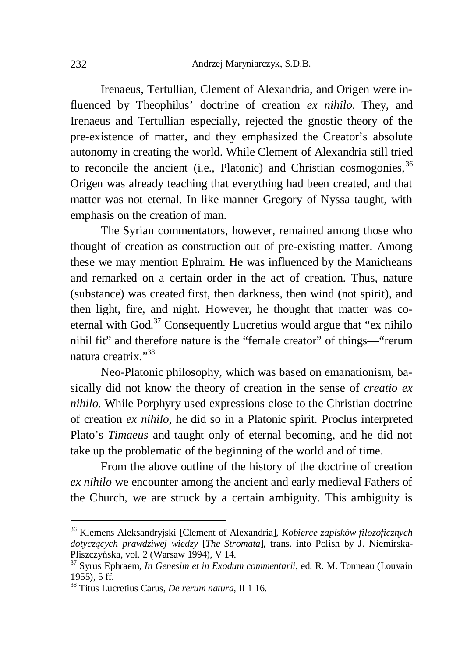Irenaeus, Tertullian, Clement of Alexandria, and Origen were influenced by Theophilus' doctrine of creation *ex nihilo*. They, and Irenaeus and Tertullian especially, rejected the gnostic theory of the pre-existence of matter, and they emphasized the Creator's absolute autonomy in creating the world. While Clement of Alexandria still tried to reconcile the ancient (i.e., Platonic) and Christian cosmogonies,  $36$ Origen was already teaching that everything had been created, and that matter was not eternal. In like manner Gregory of Nyssa taught, with emphasis on the creation of man.

The Syrian commentators, however, remained among those who thought of creation as construction out of pre-existing matter. Among these we may mention Ephraim. He was influenced by the Manicheans and remarked on a certain order in the act of creation. Thus, nature (substance) was created first, then darkness, then wind (not spirit), and then light, fire, and night. However, he thought that matter was coeternal with God. $37$  Consequently Lucretius would argue that "ex nihilo" nihil fit" and therefore nature is the "female creator" of things—"rerum natura creatrix<sup>"38</sup>

Neo-Platonic philosophy, which was based on emanationism, basically did not know the theory of creation in the sense of *creatio ex nihilo*. While Porphyry used expressions close to the Christian doctrine of creation *ex nihilo*, he did so in a Platonic spirit. Proclus interpreted Plato's *Timaeus* and taught only of eternal becoming, and he did not take up the problematic of the beginning of the world and of time.

From the above outline of the history of the doctrine of creation *ex nihilo* we encounter among the ancient and early medieval Fathers of the Church, we are struck by a certain ambiguity. This ambiguity is

<sup>36</sup> Klemens Aleksandryjski [Clement of Alexandria], *Kobierce zapisków filozoficznych dotyczących prawdziwej wiedzy* [*The Stromata*], trans. into Polish by J. Niemirska-Pliszczyńska, vol. 2 (Warsaw 1994), V 14.

<sup>37</sup> Syrus Ephraem, *In Genesim et in Exodum commentarii*, ed. R. M. Tonneau (Louvain 1955), 5 ff.

<sup>38</sup> Titus Lucretius Carus, *De rerum natura*, II 1 16.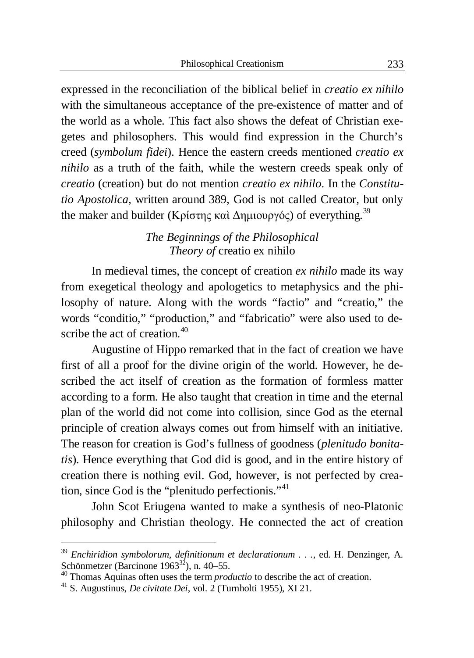expressed in the reconciliation of the biblical belief in *creatio ex nihilo* with the simultaneous acceptance of the pre-existence of matter and of the world as a whole. This fact also shows the defeat of Christian exegetes and philosophers. This would find expression in the Church's creed (*symbolum fidei*). Hence the eastern creeds mentioned *creatio ex nihilo* as a truth of the faith, while the western creeds speak only of *creatio* (creation) but do not mention *creatio ex nihilo*. In the *Constitutio Apostolica*, written around 389, God is not called Creator, but only the maker and builder (Κρίστης καὶ Δημιουργός) of everything.<sup>39</sup>

## *The Beginnings of the Philosophical Theory of* creatio ex nihilo

In medieval times, the concept of creation *ex nihilo* made its way from exegetical theology and apologetics to metaphysics and the philosophy of nature. Along with the words "factio" and "creatio," the words "conditio," "production," and "fabricatio" were also used to describe the act of creation  $40$ 

Augustine of Hippo remarked that in the fact of creation we have first of all a proof for the divine origin of the world. However, he described the act itself of creation as the formation of formless matter according to a form. He also taught that creation in time and the eternal plan of the world did not come into collision, since God as the eternal principle of creation always comes out from himself with an initiative. The reason for creation is God's fullness of goodness (*plenitudo bonitatis*). Hence everything that God did is good, and in the entire history of creation there is nothing evil. God, however, is not perfected by creation, since God is the "plenitudo perfectionis."<sup>41</sup>

John Scot Eriugena wanted to make a synthesis of neo-Platonic philosophy and Christian theology. He connected the act of creation

<sup>39</sup> *Enchiridion symbolorum, definitionum et declarationum . . .*, ed. H. Denzinger, A. Schönmetzer (Barcinone 1963 $^{32}$ ), n. 40–55.

<sup>40</sup> Thomas Aquinas often uses the term *productio* to describe the act of creation.

<sup>41</sup> S. Augustinus, *De civitate Dei*, vol. 2 (Turnholti 1955), XI 21.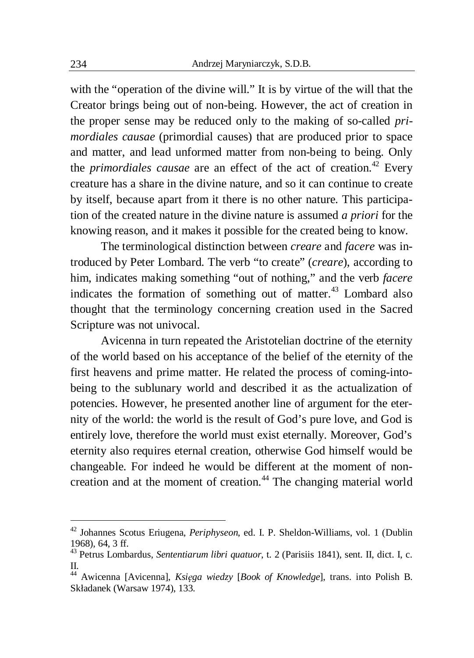with the "operation of the divine will." It is by virtue of the will that the Creator brings being out of non-being. However, the act of creation in the proper sense may be reduced only to the making of so-called *primordiales causae* (primordial causes) that are produced prior to space and matter, and lead unformed matter from non-being to being. Only the *primordiales causae* are an effect of the act of creation.<sup>42</sup> Every creature has a share in the divine nature, and so it can continue to create by itself, because apart from it there is no other nature. This participation of the created nature in the divine nature is assumed *a priori* for the knowing reason, and it makes it possible for the created being to know.

The terminological distinction between *creare* and *facere* was introduced by Peter Lombard. The verb "to create" (*creare*), according to him, indicates making something "out of nothing," and the verb *facere* indicates the formation of something out of matter.<sup>43</sup> Lombard also thought that the terminology concerning creation used in the Sacred Scripture was not univocal.

Avicenna in turn repeated the Aristotelian doctrine of the eternity of the world based on his acceptance of the belief of the eternity of the first heavens and prime matter. He related the process of coming-intobeing to the sublunary world and described it as the actualization of potencies. However, he presented another line of argument for the eternity of the world: the world is the result of God's pure love, and God is entirely love, therefore the world must exist eternally. Moreover, God's eternity also requires eternal creation, otherwise God himself would be changeable. For indeed he would be different at the moment of noncreation and at the moment of creation.<sup>44</sup> The changing material world

<sup>42</sup> Johannes Scotus Eriugena, *Periphyseon*, ed. I. P. Sheldon-Williams, vol. 1 (Dublin 1968), 64, 3 ff.

<sup>43</sup> Petrus Lombardus, *Sententiarum libri quatuor*, t. 2 (Parisiis 1841), sent. II, dict. I, c. II.

<sup>&</sup>lt;sup>44</sup> Awicenna [Avicenna], *Księga wiedzy* [Book of Knowledge], trans. into Polish B. Składanek (Warsaw 1974), 133.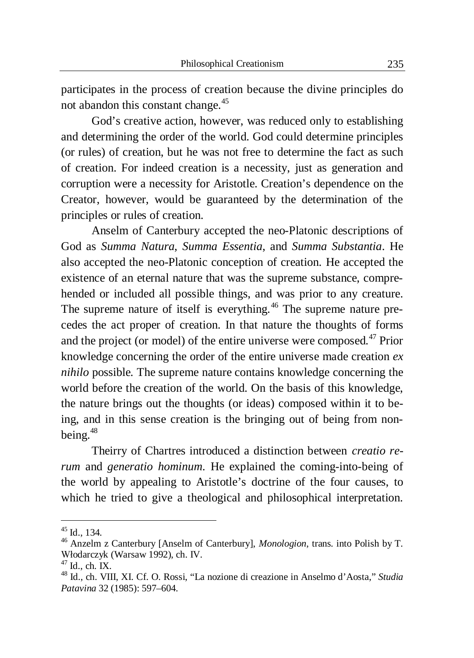participates in the process of creation because the divine principles do not abandon this constant change.<sup>45</sup>

God's creative action, however, was reduced only to establishing and determining the order of the world. God could determine principles (or rules) of creation, but he was not free to determine the fact as such of creation. For indeed creation is a necessity, just as generation and corruption were a necessity for Aristotle. Creation's dependence on the Creator, however, would be guaranteed by the determination of the principles or rules of creation.

Anselm of Canterbury accepted the neo-Platonic descriptions of God as *Summa Natura*, *Summa Essentia*, and *Summa Substantia*. He also accepted the neo-Platonic conception of creation. He accepted the existence of an eternal nature that was the supreme substance, comprehended or included all possible things, and was prior to any creature. The supreme nature of itself is everything.<sup>46</sup> The supreme nature precedes the act proper of creation. In that nature the thoughts of forms and the project (or model) of the entire universe were composed.<sup>47</sup> Prior knowledge concerning the order of the entire universe made creation *ex nihilo* possible. The supreme nature contains knowledge concerning the world before the creation of the world. On the basis of this knowledge, the nature brings out the thoughts (or ideas) composed within it to being, and in this sense creation is the bringing out of being from nonbeing.<sup>48</sup>

Theirry of Chartres introduced a distinction between *creatio rerum* and *generatio hominum*. He explained the coming-into-being of the world by appealing to Aristotle's doctrine of the four causes, to which he tried to give a theological and philosophical interpretation.

 $45$  Id., 134.

<sup>46</sup> Anzelm z Canterbury [Anselm of Canterbury], *Monologion*, trans. into Polish by T. Włodarczyk (Warsaw 1992), ch. IV.

 $47$  Id., ch. IX.

<sup>48</sup> Id., ch. VIII, XI. Cf. O. Rossi, "La nozione di creazione in Anselmo d'Aosta," *Studia Patavina* 32 (1985): 597–604.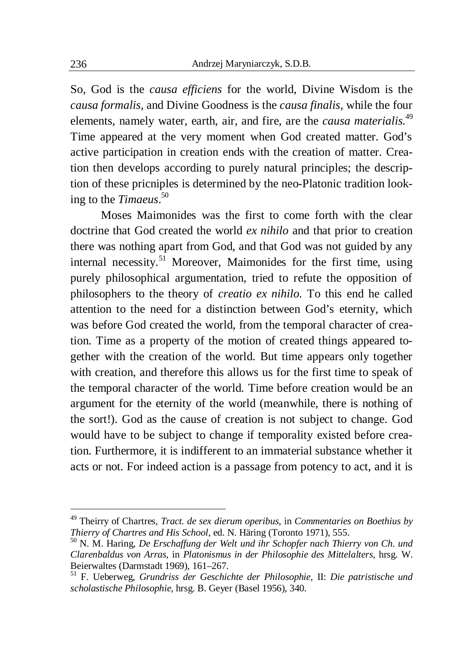So, God is the *causa efficiens* for the world, Divine Wisdom is the *causa formalis*, and Divine Goodness is the *causa finalis*, while the four elements, namely water, earth, air, and fire, are the *causa materialis*. 49 Time appeared at the very moment when God created matter. God's active participation in creation ends with the creation of matter. Creation then develops according to purely natural principles; the description of these pricniples is determined by the neo-Platonic tradition looking to the *Timaeus*. 50

Moses Maimonides was the first to come forth with the clear doctrine that God created the world *ex nihilo* and that prior to creation there was nothing apart from God, and that God was not guided by any internal necessity.<sup>51</sup> Moreover, Maimonides for the first time, using purely philosophical argumentation, tried to refute the opposition of philosophers to the theory of *creatio ex nihilo.* To this end he called attention to the need for a distinction between God's eternity, which was before God created the world, from the temporal character of creation. Time as a property of the motion of created things appeared together with the creation of the world. But time appears only together with creation, and therefore this allows us for the first time to speak of the temporal character of the world. Time before creation would be an argument for the eternity of the world (meanwhile, there is nothing of the sort!). God as the cause of creation is not subject to change. God would have to be subject to change if temporality existed before creation. Furthermore, it is indifferent to an immaterial substance whether it acts or not. For indeed action is a passage from potency to act, and it is

1

<sup>49</sup> Theirry of Chartres, *Tract. de sex dierum operibus*, in *Commentaries on Boethius by Thierry of Chartres and His School*, ed. N. Häring (Toronto 1971), 555.

<sup>50</sup> N. M. Haring, *De Erschaffung der Welt und ihr Schopfer nach Thierry von Ch. und Clarenbaldus von Arras*, in *Platonismus in der Philosophie des Mittelalters*, hrsg. W. Beierwaltes (Darmstadt 1969), 161–267.

<sup>51</sup> F. Ueberweg, *Grundriss der Geschichte der Philosophie*, II: *Die patristische und scholastische Philosophie*, hrsg. B. Geyer (Basel 1956), 340.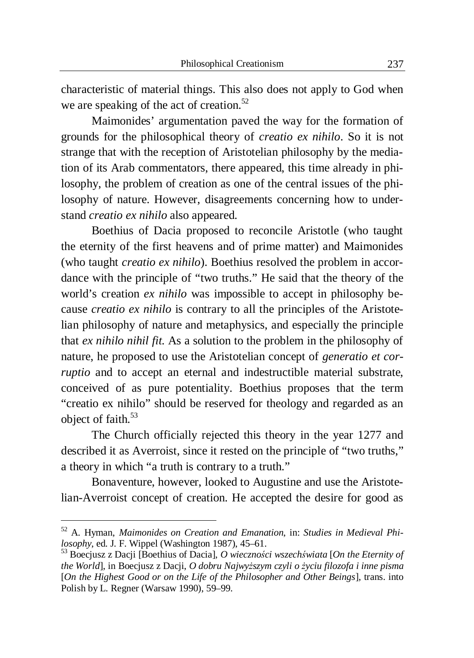characteristic of material things. This also does not apply to God when we are speaking of the act of creation.<sup>52</sup>

Maimonides' argumentation paved the way for the formation of grounds for the philosophical theory of *creatio ex nihilo*. So it is not strange that with the reception of Aristotelian philosophy by the mediation of its Arab commentators, there appeared, this time already in philosophy, the problem of creation as one of the central issues of the philosophy of nature. However, disagreements concerning how to understand *creatio ex nihilo* also appeared.

Boethius of Dacia proposed to reconcile Aristotle (who taught the eternity of the first heavens and of prime matter) and Maimonides (who taught *creatio ex nihilo*). Boethius resolved the problem in accordance with the principle of "two truths." He said that the theory of the world's creation *ex nihilo* was impossible to accept in philosophy because *creatio ex nihilo* is contrary to all the principles of the Aristotelian philosophy of nature and metaphysics, and especially the principle that *ex nihilo nihil fit*. As a solution to the problem in the philosophy of nature, he proposed to use the Aristotelian concept of *generatio et corruptio* and to accept an eternal and indestructible material substrate, conceived of as pure potentiality. Boethius proposes that the term "creatio ex nihilo" should be reserved for theology and regarded as an object of faith.<sup>53</sup>

The Church officially rejected this theory in the year 1277 and described it as Averroist, since it rested on the principle of "two truths," a theory in which "a truth is contrary to a truth."

Bonaventure, however, looked to Augustine and use the Aristotelian-Averroist concept of creation. He accepted the desire for good as

<sup>52</sup> A. Hyman, *Maimonides on Creation and Emanation*, in: *Studies in Medieval Philosophy*, ed. J. F. Wippel (Washington 1987), 45–61.

<sup>53</sup> Boecjusz z Dacji [Boethius of Dacia], *O wiecznoĞci wszechĞwiata* [*On the Eternity of the World*], in Boecjusz z Dacji, *O dobru NajwyĪszym czyli o Īyciu filozofa i inne pisma* [*On the Highest Good or on the Life of the Philosopher and Other Beings*], trans. into Polish by L. Regner (Warsaw 1990), 59–99.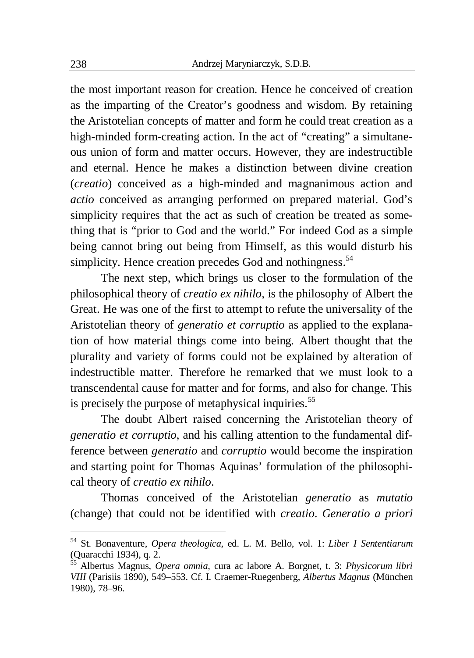the most important reason for creation. Hence he conceived of creation as the imparting of the Creator's goodness and wisdom. By retaining the Aristotelian concepts of matter and form he could treat creation as a high-minded form-creating action. In the act of "creating" a simultaneous union of form and matter occurs. However, they are indestructible and eternal. Hence he makes a distinction between divine creation (*creatio*) conceived as a high-minded and magnanimous action and *actio* conceived as arranging performed on prepared material. God's simplicity requires that the act as such of creation be treated as something that is "prior to God and the world." For indeed God as a simple being cannot bring out being from Himself, as this would disturb his simplicity. Hence creation precedes God and nothingness.<sup>54</sup>

The next step, which brings us closer to the formulation of the philosophical theory of *creatio ex nihilo*, is the philosophy of Albert the Great. He was one of the first to attempt to refute the universality of the Aristotelian theory of *generatio et corruptio* as applied to the explanation of how material things come into being. Albert thought that the plurality and variety of forms could not be explained by alteration of indestructible matter. Therefore he remarked that we must look to a transcendental cause for matter and for forms, and also for change. This is precisely the purpose of metaphysical inquiries.<sup>55</sup>

The doubt Albert raised concerning the Aristotelian theory of *generatio et corruptio*, and his calling attention to the fundamental difference between *generatio* and *corruptio* would become the inspiration and starting point for Thomas Aquinas' formulation of the philosophical theory of *creatio ex nihilo*.

Thomas conceived of the Aristotelian *generatio* as *mutatio* (change) that could not be identified with *creatio*. *Generatio a priori*

<sup>54</sup> St. Bonaventure, *Opera theologica*, ed. L. M. Bello, vol. 1: *Liber I Sententiarum* (Quaracchi 1934), q. 2.

<sup>55</sup> Albertus Magnus, *Opera omnia*, cura ac labore A. Borgnet, t. 3: *Physicorum libri VIII* (Parisiis 1890), 549–553. Cf. I. Craemer-Ruegenberg, *Albertus Magnus* (München 1980), 78–96.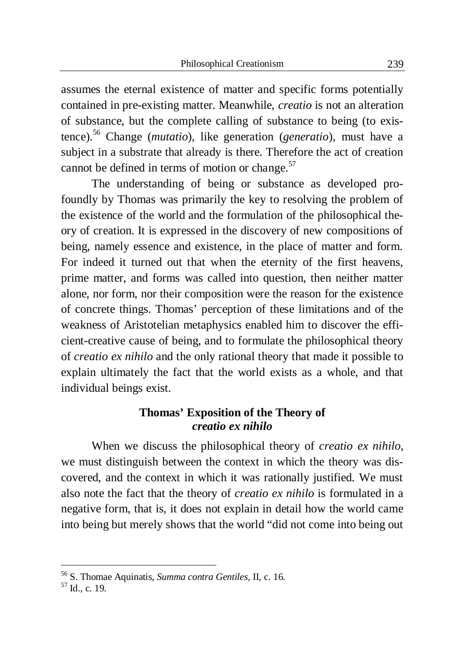assumes the eternal existence of matter and specific forms potentially contained in pre-existing matter. Meanwhile, *creatio* is not an alteration of substance, but the complete calling of substance to being (to existence).<sup>56</sup> Change (*mutatio*), like generation (*generatio*), must have a subject in a substrate that already is there. Therefore the act of creation cannot be defined in terms of motion or change. $57$ 

The understanding of being or substance as developed profoundly by Thomas was primarily the key to resolving the problem of the existence of the world and the formulation of the philosophical theory of creation. It is expressed in the discovery of new compositions of being, namely essence and existence, in the place of matter and form. For indeed it turned out that when the eternity of the first heavens, prime matter, and forms was called into question, then neither matter alone, nor form, nor their composition were the reason for the existence of concrete things. Thomas' perception of these limitations and of the weakness of Aristotelian metaphysics enabled him to discover the efficient-creative cause of being, and to formulate the philosophical theory of *creatio ex nihilo* and the only rational theory that made it possible to explain ultimately the fact that the world exists as a whole, and that individual beings exist.

## **Thomas' Exposition of the Theory of**  *creatio ex nihilo*

When we discuss the philosophical theory of *creatio ex nihilo*, we must distinguish between the context in which the theory was discovered, and the context in which it was rationally justified. We must also note the fact that the theory of *creatio ex nihilo* is formulated in a negative form, that is, it does not explain in detail how the world came into being but merely shows that the world "did not come into being out

<sup>56</sup> S. Thomae Aquinatis, *Summa contra Gentiles*, II, c. 16.

 $57$  Id., c. 19.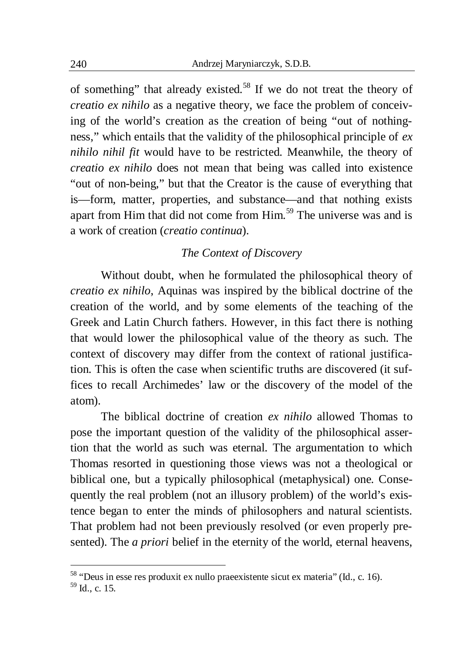of something" that already existed.<sup>58</sup> If we do not treat the theory of *creatio ex nihilo* as a negative theory, we face the problem of conceiving of the world's creation as the creation of being "out of nothingness," which entails that the validity of the philosophical principle of *ex nihilo nihil fit* would have to be restricted. Meanwhile, the theory of *creatio ex nihilo* does not mean that being was called into existence "out of non-being," but that the Creator is the cause of everything that is—form, matter, properties, and substance—and that nothing exists apart from Him that did not come from Him.<sup>59</sup> The universe was and is a work of creation (*creatio continua*).

## *The Context of Discovery*

Without doubt, when he formulated the philosophical theory of *creatio ex nihilo*, Aquinas was inspired by the biblical doctrine of the creation of the world, and by some elements of the teaching of the Greek and Latin Church fathers. However, in this fact there is nothing that would lower the philosophical value of the theory as such. The context of discovery may differ from the context of rational justification. This is often the case when scientific truths are discovered (it suffices to recall Archimedes' law or the discovery of the model of the atom).

The biblical doctrine of creation *ex nihilo* allowed Thomas to pose the important question of the validity of the philosophical assertion that the world as such was eternal. The argumentation to which Thomas resorted in questioning those views was not a theological or biblical one, but a typically philosophical (metaphysical) one. Consequently the real problem (not an illusory problem) of the world's existence began to enter the minds of philosophers and natural scientists. That problem had not been previously resolved (or even properly presented). The *a priori* belief in the eternity of the world, eternal heavens,

 $58$  "Deus in esse res produxit ex nullo praeexistente sicut ex materia" (Id., c. 16). <sup>59</sup> Id., c. 15.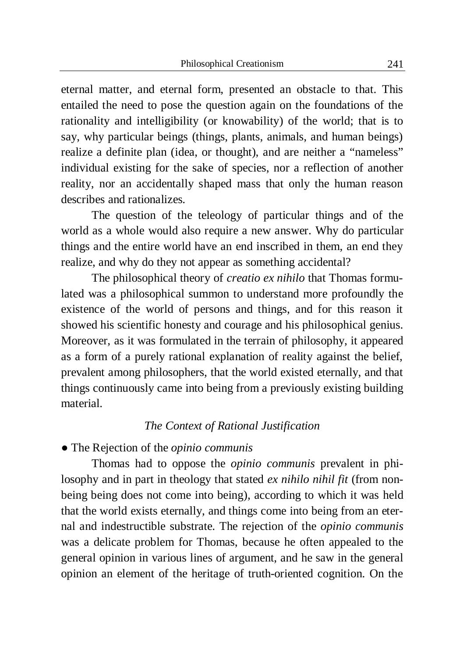eternal matter, and eternal form, presented an obstacle to that. This entailed the need to pose the question again on the foundations of the rationality and intelligibility (or knowability) of the world; that is to say, why particular beings (things, plants, animals, and human beings) realize a definite plan (idea, or thought), and are neither a "nameless" individual existing for the sake of species, nor a reflection of another reality, nor an accidentally shaped mass that only the human reason describes and rationalizes.

The question of the teleology of particular things and of the world as a whole would also require a new answer. Why do particular things and the entire world have an end inscribed in them, an end they realize, and why do they not appear as something accidental?

The philosophical theory of *creatio ex nihilo* that Thomas formulated was a philosophical summon to understand more profoundly the existence of the world of persons and things, and for this reason it showed his scientific honesty and courage and his philosophical genius. Moreover, as it was formulated in the terrain of philosophy, it appeared as a form of a purely rational explanation of reality against the belief, prevalent among philosophers, that the world existed eternally, and that things continuously came into being from a previously existing building material.

#### *The Context of Rational Justification*

#### Ɣ The Rejection of the *opinio communis*

Thomas had to oppose the *opinio communis* prevalent in philosophy and in part in theology that stated *ex nihilo nihil fit* (from nonbeing being does not come into being), according to which it was held that the world exists eternally, and things come into being from an eternal and indestructible substrate. The rejection of the *opinio communis* was a delicate problem for Thomas, because he often appealed to the general opinion in various lines of argument, and he saw in the general opinion an element of the heritage of truth-oriented cognition. On the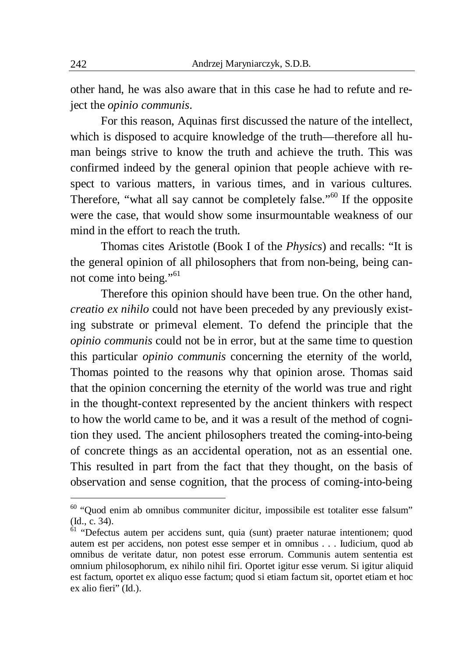other hand, he was also aware that in this case he had to refute and reject the *opinio communis*.

For this reason, Aquinas first discussed the nature of the intellect, which is disposed to acquire knowledge of the truth—therefore all human beings strive to know the truth and achieve the truth. This was confirmed indeed by the general opinion that people achieve with respect to various matters, in various times, and in various cultures. Therefore, "what all say cannot be completely false."<sup>60</sup> If the opposite were the case, that would show some insurmountable weakness of our mind in the effort to reach the truth.

Thomas cites Aristotle (Book I of the *Physics*) and recalls: "It is the general opinion of all philosophers that from non-being, being cannot come into being."<sup>61</sup>

Therefore this opinion should have been true. On the other hand, *creatio ex nihilo* could not have been preceded by any previously existing substrate or primeval element. To defend the principle that the *opinio communis* could not be in error, but at the same time to question this particular *opinio communis* concerning the eternity of the world, Thomas pointed to the reasons why that opinion arose. Thomas said that the opinion concerning the eternity of the world was true and right in the thought-context represented by the ancient thinkers with respect to how the world came to be, and it was a result of the method of cognition they used. The ancient philosophers treated the coming-into-being of concrete things as an accidental operation, not as an essential one. This resulted in part from the fact that they thought, on the basis of observation and sense cognition, that the process of coming-into-being

 $60$  "Quod enim ab omnibus communiter dicitur, impossibile est totaliter esse falsum" (Id., c. 34).

<sup>&</sup>lt;sup>61</sup> "Defectus autem per accidens sunt, quia (sunt) praeter naturae intentionem; quod autem est per accidens, non potest esse semper et in omnibus . . . Iudicium, quod ab omnibus de veritate datur, non potest esse errorum. Communis autem sententia est omnium philosophorum, ex nihilo nihil firi. Oportet igitur esse verum. Si igitur aliquid est factum, oportet ex aliquo esse factum; quod si etiam factum sit, oportet etiam et hoc ex alio fieri" (Id.).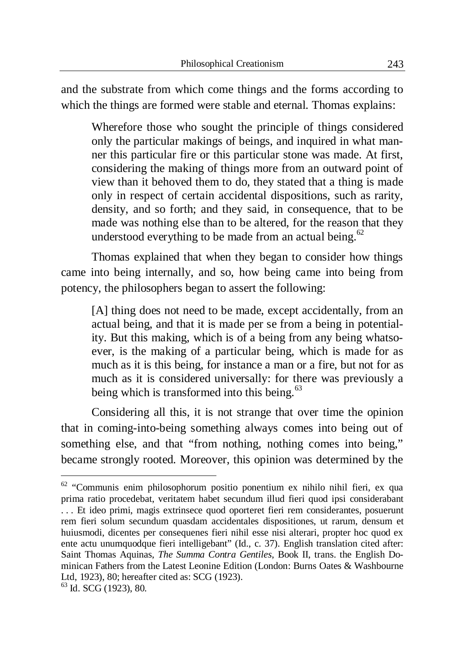and the substrate from which come things and the forms according to which the things are formed were stable and eternal. Thomas explains:

Wherefore those who sought the principle of things considered only the particular makings of beings, and inquired in what manner this particular fire or this particular stone was made. At first, considering the making of things more from an outward point of view than it behoved them to do, they stated that a thing is made only in respect of certain accidental dispositions, such as rarity, density, and so forth; and they said, in consequence, that to be made was nothing else than to be altered, for the reason that they understood everything to be made from an actual being. $62$ 

Thomas explained that when they began to consider how things came into being internally, and so, how being came into being from potency, the philosophers began to assert the following:

[A] thing does not need to be made, except accidentally, from an actual being, and that it is made per se from a being in potentiality. But this making, which is of a being from any being whatsoever, is the making of a particular being, which is made for as much as it is this being, for instance a man or a fire, but not for as much as it is considered universally: for there was previously a being which is transformed into this being.<sup>63</sup>

Considering all this, it is not strange that over time the opinion that in coming-into-being something always comes into being out of something else, and that "from nothing, nothing comes into being," became strongly rooted. Moreover, this opinion was determined by the

 $62$  "Communis enim philosophorum positio ponentium ex nihilo nihil fieri, ex qua prima ratio procedebat, veritatem habet secundum illud fieri quod ipsi considerabant . . . Et ideo primi, magis extrinsece quod oporteret fieri rem considerantes, posuerunt rem fieri solum secundum quasdam accidentales dispositiones, ut rarum, densum et huiusmodi, dicentes per consequenes fieri nihil esse nisi alterari, propter hoc quod ex ente actu unumquodque fieri intelligebant" (Id., c. 37). English translation cited after: Saint Thomas Aquinas, *The Summa Contra Gentiles*, Book II, trans. the English Dominican Fathers from the Latest Leonine Edition (London: Burns Oates & Washbourne Ltd, 1923), 80; hereafter cited as: SCG (1923).

 $63$  Id. SCG (1923), 80.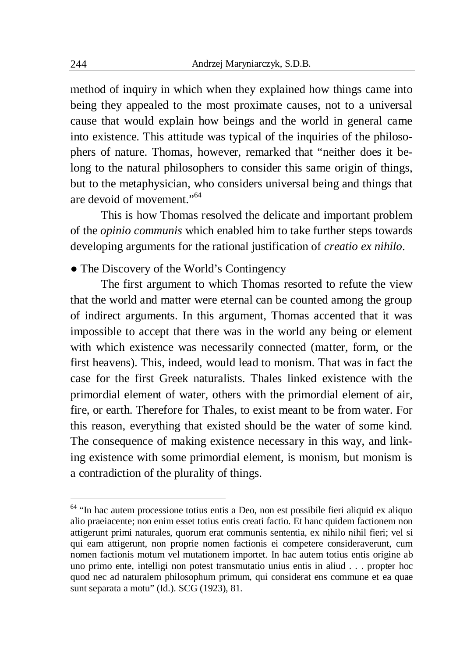method of inquiry in which when they explained how things came into being they appealed to the most proximate causes, not to a universal cause that would explain how beings and the world in general came into existence. This attitude was typical of the inquiries of the philosophers of nature. Thomas, however, remarked that "neither does it belong to the natural philosophers to consider this same origin of things, but to the metaphysician, who considers universal being and things that are devoid of movement."<sup>64</sup>

This is how Thomas resolved the delicate and important problem of the *opinio communis* which enabled him to take further steps towards developing arguments for the rational justification of *creatio ex nihilo*.

• The Discovery of the World's Contingency

The first argument to which Thomas resorted to refute the view that the world and matter were eternal can be counted among the group of indirect arguments. In this argument, Thomas accented that it was impossible to accept that there was in the world any being or element with which existence was necessarily connected (matter, form, or the first heavens). This, indeed, would lead to monism. That was in fact the case for the first Greek naturalists. Thales linked existence with the primordial element of water, others with the primordial element of air, fire, or earth. Therefore for Thales, to exist meant to be from water. For this reason, everything that existed should be the water of some kind. The consequence of making existence necessary in this way, and linking existence with some primordial element, is monism, but monism is a contradiction of the plurality of things.

<sup>&</sup>lt;sup>64</sup> "In hac autem processione totius entis a Deo, non est possibile fieri aliquid ex aliquo alio praeiacente; non enim esset totius entis creati factio. Et hanc quidem factionem non attigerunt primi naturales, quorum erat communis sententia, ex nihilo nihil fieri; vel si qui eam attigerunt, non proprie nomen factionis ei competere consideraverunt, cum nomen factionis motum vel mutationem importet. In hac autem totius entis origine ab uno primo ente, intelligi non potest transmutatio unius entis in aliud . . . propter hoc quod nec ad naturalem philosophum primum, qui considerat ens commune et ea quae sunt separata a motu" (Id.). SCG (1923), 81.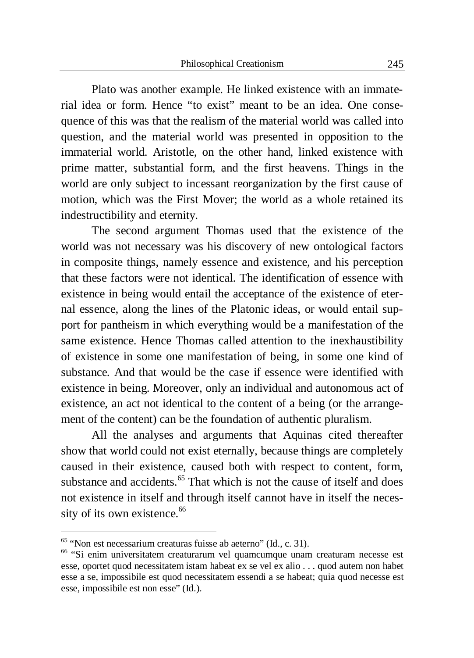Plato was another example. He linked existence with an immaterial idea or form. Hence "to exist" meant to be an idea. One consequence of this was that the realism of the material world was called into question, and the material world was presented in opposition to the immaterial world. Aristotle, on the other hand, linked existence with prime matter, substantial form, and the first heavens. Things in the world are only subject to incessant reorganization by the first cause of motion, which was the First Mover; the world as a whole retained its indestructibility and eternity.

The second argument Thomas used that the existence of the world was not necessary was his discovery of new ontological factors in composite things, namely essence and existence, and his perception that these factors were not identical. The identification of essence with existence in being would entail the acceptance of the existence of eternal essence, along the lines of the Platonic ideas, or would entail support for pantheism in which everything would be a manifestation of the same existence. Hence Thomas called attention to the inexhaustibility of existence in some one manifestation of being, in some one kind of substance. And that would be the case if essence were identified with existence in being. Moreover, only an individual and autonomous act of existence, an act not identical to the content of a being (or the arrangement of the content) can be the foundation of authentic pluralism.

All the analyses and arguments that Aquinas cited thereafter show that world could not exist eternally, because things are completely caused in their existence, caused both with respect to content, form, substance and accidents.<sup>65</sup> That which is not the cause of itself and does not existence in itself and through itself cannot have in itself the necessity of its own existence.<sup>66</sup>

<sup>65</sup> "Non est necessarium creaturas fuisse ab aeterno" (Id., c. 31).

<sup>66</sup> "Si enim universitatem creaturarum vel quamcumque unam creaturam necesse est esse, oportet quod necessitatem istam habeat ex se vel ex alio . . . quod autem non habet esse a se, impossibile est quod necessitatem essendi a se habeat; quia quod necesse est esse, impossibile est non esse" (Id.).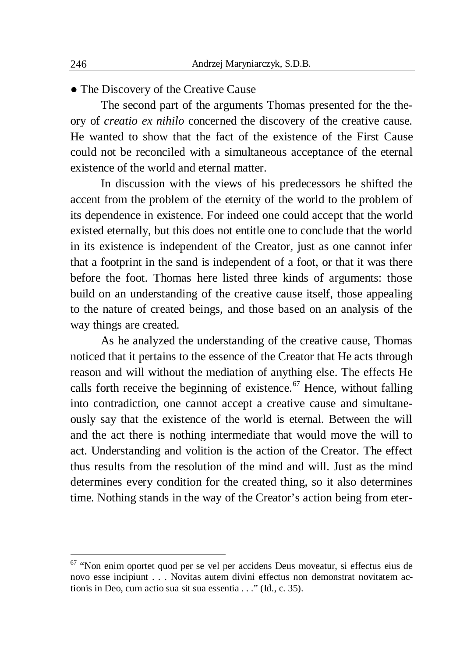• The Discovery of the Creative Cause

The second part of the arguments Thomas presented for the theory of *creatio ex nihilo* concerned the discovery of the creative cause. He wanted to show that the fact of the existence of the First Cause could not be reconciled with a simultaneous acceptance of the eternal existence of the world and eternal matter.

In discussion with the views of his predecessors he shifted the accent from the problem of the eternity of the world to the problem of its dependence in existence. For indeed one could accept that the world existed eternally, but this does not entitle one to conclude that the world in its existence is independent of the Creator, just as one cannot infer that a footprint in the sand is independent of a foot, or that it was there before the foot. Thomas here listed three kinds of arguments: those build on an understanding of the creative cause itself, those appealing to the nature of created beings, and those based on an analysis of the way things are created.

As he analyzed the understanding of the creative cause, Thomas noticed that it pertains to the essence of the Creator that He acts through reason and will without the mediation of anything else. The effects He calls forth receive the beginning of existence.<sup>67</sup> Hence, without falling into contradiction, one cannot accept a creative cause and simultaneously say that the existence of the world is eternal. Between the will and the act there is nothing intermediate that would move the will to act. Understanding and volition is the action of the Creator. The effect thus results from the resolution of the mind and will. Just as the mind determines every condition for the created thing, so it also determines time. Nothing stands in the way of the Creator's action being from eter-

<sup>67</sup> "Non enim oportet quod per se vel per accidens Deus moveatur, si effectus eius de novo esse incipiunt . . . Novitas autem divini effectus non demonstrat novitatem actionis in Deo, cum actio sua sit sua essentia . . ." (Id., c. 35).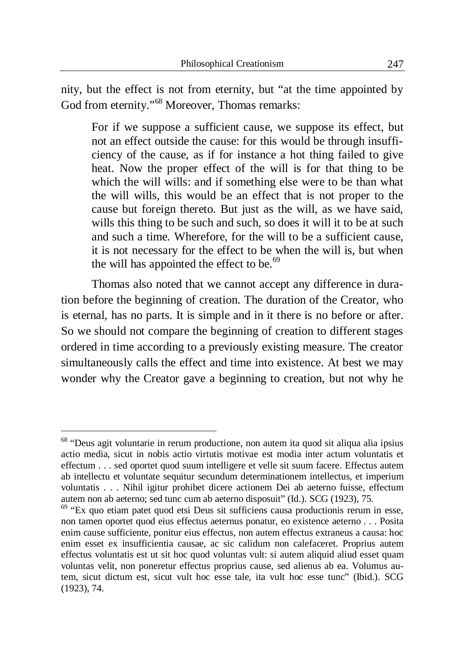nity, but the effect is not from eternity, but "at the time appointed by God from eternity."<sup>68</sup> Moreover, Thomas remarks:

For if we suppose a sufficient cause, we suppose its effect, but not an effect outside the cause: for this would be through insufficiency of the cause, as if for instance a hot thing failed to give heat. Now the proper effect of the will is for that thing to be which the will wills: and if something else were to be than what the will wills, this would be an effect that is not proper to the cause but foreign thereto. But just as the will, as we have said, wills this thing to be such and such, so does it will it to be at such and such a time. Wherefore, for the will to be a sufficient cause, it is not necessary for the effect to be when the will is, but when the will has appointed the effect to be. $69$ 

Thomas also noted that we cannot accept any difference in duration before the beginning of creation. The duration of the Creator, who is eternal, has no parts. It is simple and in it there is no before or after. So we should not compare the beginning of creation to different stages ordered in time according to a previously existing measure. The creator simultaneously calls the effect and time into existence. At best we may wonder why the Creator gave a beginning to creation, but not why he

<sup>68</sup> "Deus agit voluntarie in rerum productione, non autem ita quod sit aliqua alia ipsius actio media, sicut in nobis actio virtutis motivae est modia inter actum voluntatis et effectum . . . sed oportet quod suum intelligere et velle sit suum facere. Effectus autem ab intellectu et voluntate sequitur secundum determinationem intellectus, et imperium voluntatis . . . Nihil igitur prohibet dicere actionem Dei ab aeterno fuisse, effectum autem non ab aeterno; sed tunc cum ab aeterno disposuit" (Id.). SCG (1923), 75.

 $69$  "Ex quo etiam patet quod etsi Deus sit sufficiens causa productionis rerum in esse, non tamen oportet quod eius effectus aeternus ponatur, eo existence aeterno . . . Posita enim cause sufficiente, ponitur eius effectus, non autem effectus extraneus a causa: hoc enim esset ex insufficientia causae, ac sic calidum non calefaceret. Proprius autem effectus voluntatis est ut sit hoc quod voluntas vult: si autem aliquid aliud esset quam voluntas velit, non poneretur effectus proprius cause, sed alienus ab ea. Volumus autem, sicut dictum est, sicut vult hoc esse tale, ita vult hoc esse tunc" (Ibid.). SCG (1923), 74.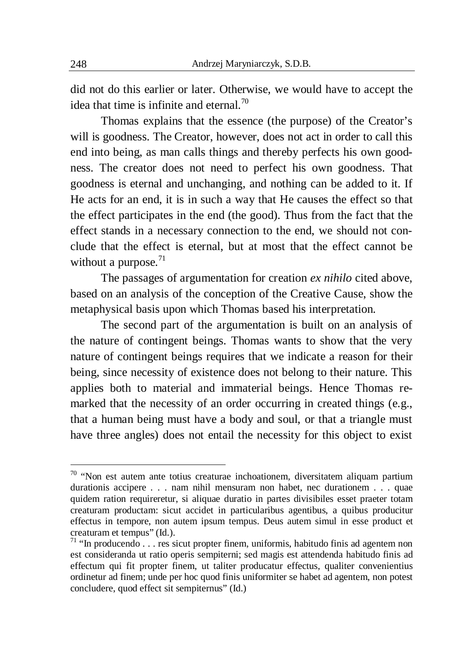did not do this earlier or later. Otherwise, we would have to accept the idea that time is infinite and eternal.<sup>70</sup>

Thomas explains that the essence (the purpose) of the Creator's will is goodness. The Creator, however, does not act in order to call this end into being, as man calls things and thereby perfects his own goodness. The creator does not need to perfect his own goodness. That goodness is eternal and unchanging, and nothing can be added to it. If He acts for an end, it is in such a way that He causes the effect so that the effect participates in the end (the good). Thus from the fact that the effect stands in a necessary connection to the end, we should not conclude that the effect is eternal, but at most that the effect cannot be without a purpose. $71$ 

The passages of argumentation for creation *ex nihilo* cited above, based on an analysis of the conception of the Creative Cause, show the metaphysical basis upon which Thomas based his interpretation.

The second part of the argumentation is built on an analysis of the nature of contingent beings. Thomas wants to show that the very nature of contingent beings requires that we indicate a reason for their being, since necessity of existence does not belong to their nature. This applies both to material and immaterial beings. Hence Thomas remarked that the necessity of an order occurring in created things (e.g., that a human being must have a body and soul, or that a triangle must have three angles) does not entail the necessity for this object to exist

1

 $70$  "Non est autem ante totius creaturae inchoationem, diversitatem aliquam partium durationis accipere . . . nam nihil mensuram non habet, nec durationem . . . quae quidem ration requireretur, si aliquae duratio in partes divisibiles esset praeter totam creaturam productam: sicut accidet in particularibus agentibus, a quibus producitur effectus in tempore, non autem ipsum tempus. Deus autem simul in esse product et creaturam et tempus" (Id.).

 $71$  "In producendo . . . res sicut propter finem, uniformis, habitudo finis ad agentem non est consideranda ut ratio operis sempiterni; sed magis est attendenda habitudo finis ad effectum qui fit propter finem, ut taliter producatur effectus, qualiter convenientius ordinetur ad finem; unde per hoc quod finis uniformiter se habet ad agentem, non potest concludere, quod effect sit sempiternus" (Id.)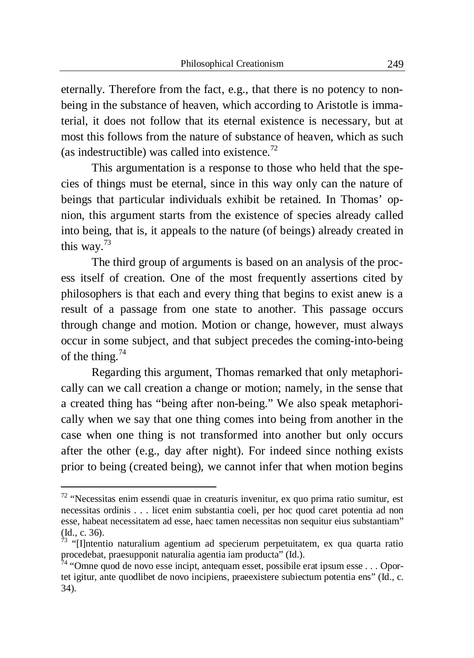eternally. Therefore from the fact, e.g., that there is no potency to nonbeing in the substance of heaven, which according to Aristotle is immaterial, it does not follow that its eternal existence is necessary, but at most this follows from the nature of substance of heaven, which as such (as indestructible) was called into existence. $^{72}$ 

This argumentation is a response to those who held that the species of things must be eternal, since in this way only can the nature of beings that particular individuals exhibit be retained. In Thomas' opnion, this argument starts from the existence of species already called into being, that is, it appeals to the nature (of beings) already created in this way.<sup>73</sup>

The third group of arguments is based on an analysis of the process itself of creation. One of the most frequently assertions cited by philosophers is that each and every thing that begins to exist anew is a result of a passage from one state to another. This passage occurs through change and motion. Motion or change, however, must always occur in some subject, and that subject precedes the coming-into-being of the thing.  $74$ 

Regarding this argument, Thomas remarked that only metaphorically can we call creation a change or motion; namely, in the sense that a created thing has "being after non-being." We also speak metaphorically when we say that one thing comes into being from another in the case when one thing is not transformed into another but only occurs after the other (e.g., day after night). For indeed since nothing exists prior to being (created being), we cannot infer that when motion begins

1

 $72$  "Necessitas enim essendi quae in creaturis invenitur, ex quo prima ratio sumitur, est necessitas ordinis . . . licet enim substantia coeli, per hoc quod caret potentia ad non esse, habeat necessitatem ad esse, haec tamen necessitas non sequitur eius substantiam" (Id., c. 36).

 $73$  "[I]ntentio naturalium agentium ad specierum perpetuitatem, ex qua quarta ratio procedebat, praesupponit naturalia agentia iam producta" (Id.).

<sup>74</sup> "Omne quod de novo esse incipt, antequam esset, possibile erat ipsum esse . . . Oportet igitur, ante quodlibet de novo incipiens, praeexistere subiectum potentia ens" (Id., c. 34).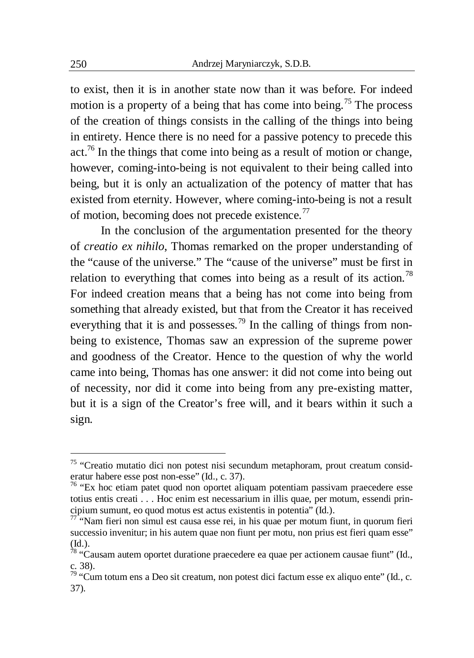to exist, then it is in another state now than it was before. For indeed motion is a property of a being that has come into being.<sup>75</sup> The process of the creation of things consists in the calling of the things into being in entirety. Hence there is no need for a passive potency to precede this  $\arct{a}^{76}$  In the things that come into being as a result of motion or change, however, coming-into-being is not equivalent to their being called into being, but it is only an actualization of the potency of matter that has existed from eternity. However, where coming-into-being is not a result of motion, becoming does not precede existence.<sup>77</sup>

In the conclusion of the argumentation presented for the theory of *creatio ex nihilo*, Thomas remarked on the proper understanding of the "cause of the universe." The "cause of the universe" must be first in relation to everything that comes into being as a result of its action.<sup>78</sup> For indeed creation means that a being has not come into being from something that already existed, but that from the Creator it has received everything that it is and possesses.<sup>79</sup> In the calling of things from nonbeing to existence, Thomas saw an expression of the supreme power and goodness of the Creator. Hence to the question of why the world came into being, Thomas has one answer: it did not come into being out of necessity, nor did it come into being from any pre-existing matter, but it is a sign of the Creator's free will, and it bears within it such a sign.

<sup>75</sup> "Creatio mutatio dici non potest nisi secundum metaphoram, prout creatum consideratur habere esse post non-esse" (Id., c. 37).

<sup>76</sup> "Ex hoc etiam patet quod non oportet aliquam potentiam passivam praecedere esse totius entis creati . . . Hoc enim est necessarium in illis quae, per motum, essendi principium sumunt, eo quod motus est actus existentis in potentia" (Id.).

 $77$  "Nam fieri non simul est causa esse rei, in his quae per motum fiunt, in quorum fieri successio invenitur; in his autem quae non fiunt per motu, non prius est fieri quam esse" (Id.).

 $\frac{78}{18}$  "Causam autem oportet duratione praecedere ea quae per actionem causae fiunt" (Id., c. 38).

 $79$  "Cum totum ens a Deo sit creatum, non potest dici factum esse ex aliquo ente" (Id., c. 37).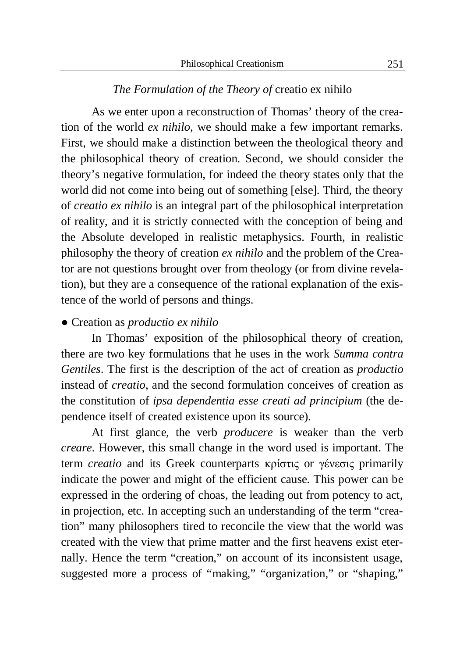## *The Formulation of the Theory of* creatio ex nihilo

As we enter upon a reconstruction of Thomas' theory of the creation of the world *ex nihilo*, we should make a few important remarks. First, we should make a distinction between the theological theory and the philosophical theory of creation. Second, we should consider the theory's negative formulation, for indeed the theory states only that the world did not come into being out of something [else]. Third, the theory of *creatio ex nihilo* is an integral part of the philosophical interpretation of reality, and it is strictly connected with the conception of being and the Absolute developed in realistic metaphysics. Fourth, in realistic philosophy the theory of creation *ex nihilo* and the problem of the Creator are not questions brought over from theology (or from divine revelation), but they are a consequence of the rational explanation of the existence of the world of persons and things.

#### Ɣ Creation as *productio ex nihilo*

In Thomas' exposition of the philosophical theory of creation, there are two key formulations that he uses in the work *Summa contra Gentiles*. The first is the description of the act of creation as *productio* instead of *creatio*, and the second formulation conceives of creation as the constitution of *ipsa dependentia esse creati ad principium* (the dependence itself of created existence upon its source).

At first glance, the verb *producere* is weaker than the verb *creare*. However, this small change in the word used is important. The term *creatio* and its Greek counterparts κρίστις or γένεσις primarily indicate the power and might of the efficient cause. This power can be expressed in the ordering of choas, the leading out from potency to act, in projection, etc. In accepting such an understanding of the term "creation" many philosophers tired to reconcile the view that the world was created with the view that prime matter and the first heavens exist eternally. Hence the term "creation," on account of its inconsistent usage, suggested more a process of "making," "organization," or "shaping,"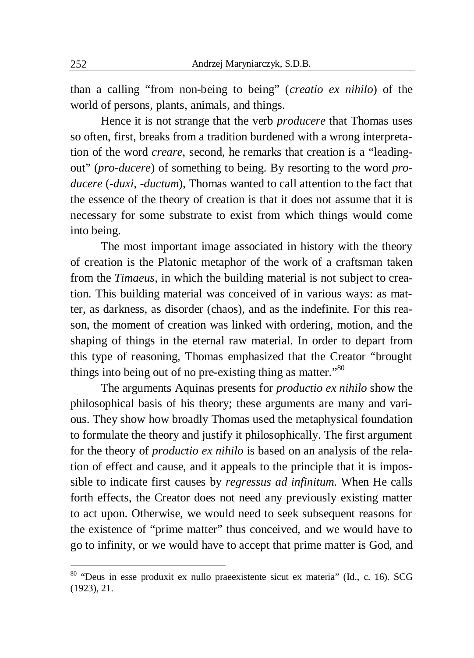than a calling "from non-being to being" (*creatio ex nihilo*) of the world of persons, plants, animals, and things.

Hence it is not strange that the verb *producere* that Thomas uses so often, first, breaks from a tradition burdened with a wrong interpretation of the word *creare*, second, he remarks that creation is a "leadingout" (*pro-ducere*) of something to being. By resorting to the word *producere* (-*duxi*, -*ductum*), Thomas wanted to call attention to the fact that the essence of the theory of creation is that it does not assume that it is necessary for some substrate to exist from which things would come into being.

The most important image associated in history with the theory of creation is the Platonic metaphor of the work of a craftsman taken from the *Timaeus*, in which the building material is not subject to creation. This building material was conceived of in various ways: as matter, as darkness, as disorder (chaos), and as the indefinite. For this reason, the moment of creation was linked with ordering, motion, and the shaping of things in the eternal raw material. In order to depart from this type of reasoning, Thomas emphasized that the Creator "brought things into being out of no pre-existing thing as matter."<sup>80</sup>

The arguments Aquinas presents for *productio ex nihilo* show the philosophical basis of his theory; these arguments are many and various. They show how broadly Thomas used the metaphysical foundation to formulate the theory and justify it philosophically. The first argument for the theory of *productio ex nihilo* is based on an analysis of the relation of effect and cause, and it appeals to the principle that it is impossible to indicate first causes by *regressus ad infinitum*. When He calls forth effects, the Creator does not need any previously existing matter to act upon. Otherwise, we would need to seek subsequent reasons for the existence of "prime matter" thus conceived, and we would have to go to infinity, or we would have to accept that prime matter is God, and

<sup>80</sup> "Deus in esse produxit ex nullo praeexistente sicut ex materia" (Id., c. 16). SCG (1923), 21.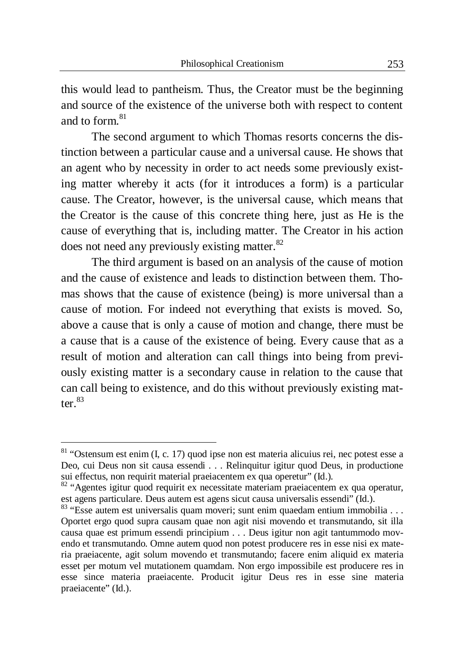this would lead to pantheism. Thus, the Creator must be the beginning and source of the existence of the universe both with respect to content and to form  $81$ 

The second argument to which Thomas resorts concerns the distinction between a particular cause and a universal cause. He shows that an agent who by necessity in order to act needs some previously existing matter whereby it acts (for it introduces a form) is a particular cause. The Creator, however, is the universal cause, which means that the Creator is the cause of this concrete thing here, just as He is the cause of everything that is, including matter. The Creator in his action does not need any previously existing matter.<sup>82</sup>

The third argument is based on an analysis of the cause of motion and the cause of existence and leads to distinction between them. Thomas shows that the cause of existence (being) is more universal than a cause of motion. For indeed not everything that exists is moved. So, above a cause that is only a cause of motion and change, there must be a cause that is a cause of the existence of being. Every cause that as a result of motion and alteration can call things into being from previously existing matter is a secondary cause in relation to the cause that can call being to existence, and do this without previously existing matter $83$ 

-

 $81$  "Ostensum est enim (I, c. 17) quod ipse non est materia alicuius rei, nec potest esse a Deo, cui Deus non sit causa essendi . . . Relinquitur igitur quod Deus, in productione sui effectus, non requirit material praeiacentem ex qua operetur" (Id.).

<sup>&</sup>lt;sup>82</sup> "Agentes igitur quod requirit ex necessitate materiam praeiacentem ex qua operatur, est agens particulare. Deus autem est agens sicut causa universalis essendi" (Id.).

<sup>&</sup>lt;sup>83</sup> "Esse autem est universalis quam moveri; sunt enim quaedam entium immobilia . . . Oportet ergo quod supra causam quae non agit nisi movendo et transmutando, sit illa causa quae est primum essendi principium . . . Deus igitur non agit tantummodo movendo et transmutando. Omne autem quod non potest producere res in esse nisi ex materia praeiacente, agit solum movendo et transmutando; facere enim aliquid ex materia esset per motum vel mutationem quamdam. Non ergo impossibile est producere res in esse since materia praeiacente. Producit igitur Deus res in esse sine materia praeiacente" (Id.).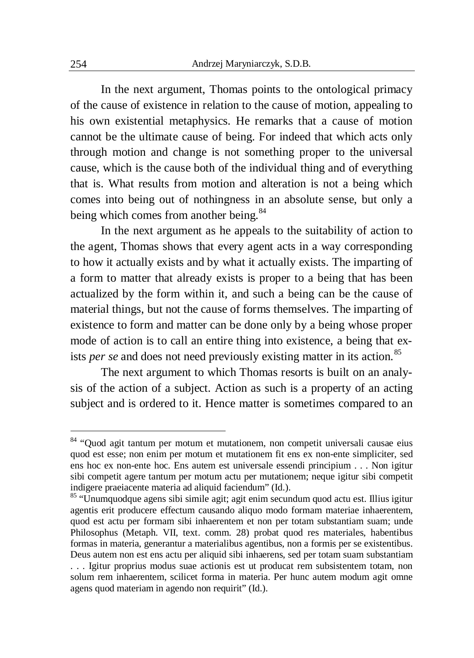In the next argument, Thomas points to the ontological primacy of the cause of existence in relation to the cause of motion, appealing to his own existential metaphysics. He remarks that a cause of motion cannot be the ultimate cause of being. For indeed that which acts only through motion and change is not something proper to the universal cause, which is the cause both of the individual thing and of everything that is. What results from motion and alteration is not a being which comes into being out of nothingness in an absolute sense, but only a being which comes from another being.<sup>84</sup>

In the next argument as he appeals to the suitability of action to the agent, Thomas shows that every agent acts in a way corresponding to how it actually exists and by what it actually exists. The imparting of a form to matter that already exists is proper to a being that has been actualized by the form within it, and such a being can be the cause of material things, but not the cause of forms themselves. The imparting of existence to form and matter can be done only by a being whose proper mode of action is to call an entire thing into existence, a being that exists *per se* and does not need previously existing matter in its action.<sup>85</sup>

The next argument to which Thomas resorts is built on an analysis of the action of a subject. Action as such is a property of an acting subject and is ordered to it. Hence matter is sometimes compared to an

<sup>84</sup> "Quod agit tantum per motum et mutationem, non competit universali causae eius quod est esse; non enim per motum et mutationem fit ens ex non-ente simpliciter, sed ens hoc ex non-ente hoc. Ens autem est universale essendi principium . . . Non igitur sibi competit agere tantum per motum actu per mutationem; neque igitur sibi competit indigere praeiacente materia ad aliquid faciendum" (Id.).

<sup>85</sup> "Unumquodque agens sibi simile agit; agit enim secundum quod actu est. Illius igitur agentis erit producere effectum causando aliquo modo formam materiae inhaerentem, quod est actu per formam sibi inhaerentem et non per totam substantiam suam; unde Philosophus (Metaph. VII, text. comm. 28) probat quod res materiales, habentibus formas in materia, generantur a materialibus agentibus, non a formis per se existentibus. Deus autem non est ens actu per aliquid sibi inhaerens, sed per totam suam substantiam . . . Igitur proprius modus suae actionis est ut producat rem subsistentem totam, non solum rem inhaerentem, scilicet forma in materia. Per hunc autem modum agit omne agens quod materiam in agendo non requirit" (Id.).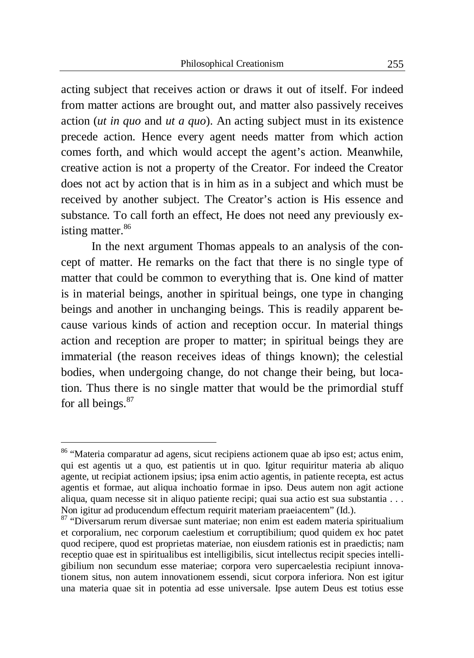acting subject that receives action or draws it out of itself. For indeed from matter actions are brought out, and matter also passively receives action (*ut in quo* and *ut a quo*). An acting subject must in its existence precede action. Hence every agent needs matter from which action comes forth, and which would accept the agent's action. Meanwhile, creative action is not a property of the Creator. For indeed the Creator does not act by action that is in him as in a subject and which must be received by another subject. The Creator's action is His essence and substance. To call forth an effect, He does not need any previously existing matter.<sup>86</sup>

In the next argument Thomas appeals to an analysis of the concept of matter. He remarks on the fact that there is no single type of matter that could be common to everything that is. One kind of matter is in material beings, another in spiritual beings, one type in changing beings and another in unchanging beings. This is readily apparent because various kinds of action and reception occur. In material things action and reception are proper to matter; in spiritual beings they are immaterial (the reason receives ideas of things known); the celestial bodies, when undergoing change, do not change their being, but location. Thus there is no single matter that would be the primordial stuff for all beings.<sup>87</sup>

-

<sup>&</sup>lt;sup>86</sup> "Materia comparatur ad agens, sicut recipiens actionem quae ab ipso est; actus enim, qui est agentis ut a quo, est patientis ut in quo. Igitur requiritur materia ab aliquo agente, ut recipiat actionem ipsius; ipsa enim actio agentis, in patiente recepta, est actus agentis et formae, aut aliqua inchoatio formae in ipso. Deus autem non agit actione aliqua, quam necesse sit in aliquo patiente recipi; quai sua actio est sua substantia . . . Non igitur ad producendum effectum requirit materiam praeiacentem" (Id.).

<sup>87 &</sup>quot;Diversarum rerum diversae sunt materiae; non enim est eadem materia spiritualium et corporalium, nec corporum caelestium et corruptibilium; quod quidem ex hoc patet quod recipere, quod est proprietas materiae, non eiusdem rationis est in praedictis; nam receptio quae est in spiritualibus est intelligibilis, sicut intellectus recipit species intelligibilium non secundum esse materiae; corpora vero supercaelestia recipiunt innovationem situs, non autem innovationem essendi, sicut corpora inferiora. Non est igitur una materia quae sit in potentia ad esse universale. Ipse autem Deus est totius esse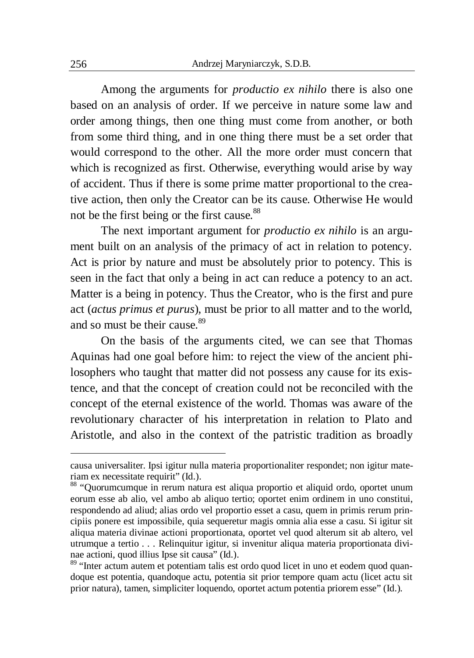Among the arguments for *productio ex nihilo* there is also one based on an analysis of order. If we perceive in nature some law and order among things, then one thing must come from another, or both from some third thing, and in one thing there must be a set order that would correspond to the other. All the more order must concern that which is recognized as first. Otherwise, everything would arise by way of accident. Thus if there is some prime matter proportional to the creative action, then only the Creator can be its cause. Otherwise He would not be the first being or the first cause.<sup>88</sup>

The next important argument for *productio ex nihilo* is an argument built on an analysis of the primacy of act in relation to potency. Act is prior by nature and must be absolutely prior to potency. This is seen in the fact that only a being in act can reduce a potency to an act. Matter is a being in potency. Thus the Creator, who is the first and pure act (*actus primus et purus*), must be prior to all matter and to the world, and so must be their cause.<sup>89</sup>

On the basis of the arguments cited, we can see that Thomas Aquinas had one goal before him: to reject the view of the ancient philosophers who taught that matter did not possess any cause for its existence, and that the concept of creation could not be reconciled with the concept of the eternal existence of the world. Thomas was aware of the revolutionary character of his interpretation in relation to Plato and Aristotle, and also in the context of the patristic tradition as broadly

causa universaliter. Ipsi igitur nulla materia proportionaliter respondet; non igitur materiam ex necessitate requirit" (Id.).

<sup>88 &</sup>quot;Quorumcumque in rerum natura est aliqua proportio et aliquid ordo, oportet unum eorum esse ab alio, vel ambo ab aliquo tertio; oportet enim ordinem in uno constitui, respondendo ad aliud; alias ordo vel proportio esset a casu, quem in primis rerum principiis ponere est impossibile, quia sequeretur magis omnia alia esse a casu. Si igitur sit aliqua materia divinae actioni proportionata, oportet vel quod alterum sit ab altero, vel utrumque a tertio . . . Relinquitur igitur, si invenitur aliqua materia proportionata divinae actioni, quod illius Ipse sit causa" (Id.).

<sup>&</sup>lt;sup>89</sup> "Inter actum autem et potentiam talis est ordo quod licet in uno et eodem quod quandoque est potentia, quandoque actu, potentia sit prior tempore quam actu (licet actu sit prior natura), tamen, simpliciter loquendo, oportet actum potentia priorem esse" (Id.).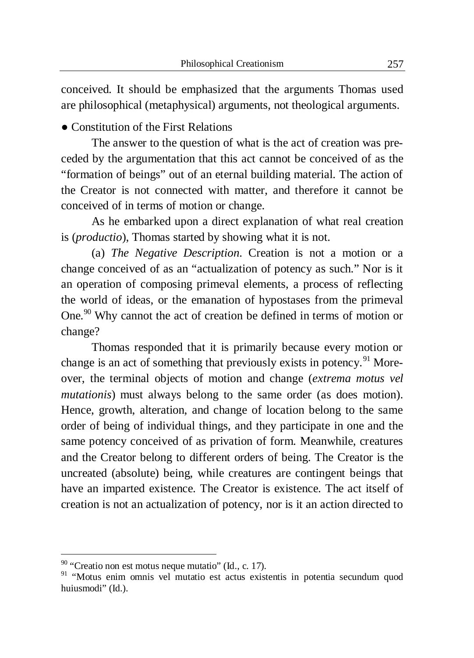conceived. It should be emphasized that the arguments Thomas used are philosophical (metaphysical) arguments, not theological arguments.

Ɣ Constitution of the First Relations

The answer to the question of what is the act of creation was preceded by the argumentation that this act cannot be conceived of as the "formation of beings" out of an eternal building material. The action of the Creator is not connected with matter, and therefore it cannot be conceived of in terms of motion or change.

As he embarked upon a direct explanation of what real creation is (*productio*), Thomas started by showing what it is not.

(a) *The Negative Description*. Creation is not a motion or a change conceived of as an "actualization of potency as such." Nor is it an operation of composing primeval elements, a process of reflecting the world of ideas, or the emanation of hypostases from the primeval One.<sup>90</sup> Why cannot the act of creation be defined in terms of motion or change?

Thomas responded that it is primarily because every motion or change is an act of something that previously exists in potency. <sup>91</sup> Moreover, the terminal objects of motion and change (*extrema motus vel mutationis*) must always belong to the same order (as does motion). Hence, growth, alteration, and change of location belong to the same order of being of individual things, and they participate in one and the same potency conceived of as privation of form. Meanwhile, creatures and the Creator belong to different orders of being. The Creator is the uncreated (absolute) being, while creatures are contingent beings that have an imparted existence. The Creator is existence. The act itself of creation is not an actualization of potency, nor is it an action directed to

 $90$  "Creatio non est motus neque mutatio" (Id., c. 17).

<sup>&</sup>lt;sup>91</sup> "Motus enim omnis vel mutatio est actus existentis in potentia secundum quod huiusmodi" (Id.).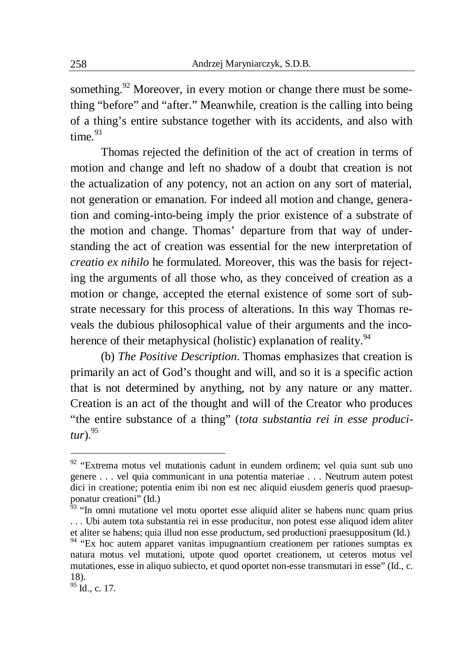something.<sup>92</sup> Moreover, in every motion or change there must be something "before" and "after." Meanwhile, creation is the calling into being of a thing's entire substance together with its accidents, and also with time $^{93}$ 

Thomas rejected the definition of the act of creation in terms of motion and change and left no shadow of a doubt that creation is not the actualization of any potency, not an action on any sort of material, not generation or emanation. For indeed all motion and change, generation and coming-into-being imply the prior existence of a substrate of the motion and change. Thomas' departure from that way of understanding the act of creation was essential for the new interpretation of *creatio ex nihilo* he formulated. Moreover, this was the basis for rejecting the arguments of all those who, as they conceived of creation as a motion or change, accepted the eternal existence of some sort of substrate necessary for this process of alterations. In this way Thomas reveals the dubious philosophical value of their arguments and the incoherence of their metaphysical (holistic) explanation of reality.<sup>94</sup>

(b) *The Positive Description*. Thomas emphasizes that creation is primarily an act of God's thought and will, and so it is a specific action that is not determined by anything, not by any nature or any matter. Creation is an act of the thought and will of the Creator who produces "the entire substance of a thing" (*tota substantia rei in esse produci* $tur).$ <sup>95</sup>

<sup>&</sup>lt;sup>92</sup> "Extrema motus vel mutationis cadunt in eundem ordinem; vel quia sunt sub uno genere . . . vel quia communicant in una potentia materiae . . . Neutrum autem potest dici in creatione; potentia enim ibi non est nec aliquid eiusdem generis quod praesupponatur creationi" (Id.)

<sup>&</sup>lt;sup>93</sup> "In omni mutatione vel motu oportet esse aliquid aliter se habens nunc quam prius . . . Ubi autem tota substantia rei in esse producitur, non potest esse aliquod idem aliter et aliter se habens; quia illud non esse productum, sed productioni praesuppositum (Id.)

<sup>&</sup>lt;sup>94</sup> "Ex hoc autem apparet vanitas impugnantium creationem per rationes sumptas ex natura motus vel mutationi, utpote quod oportet creationem, ut ceteros motus vel mutationes, esse in aliquo subiecto, et quod oportet non-esse transmutari in esse" (Id., c. 18).

 $^{95}$  Id., c. 17.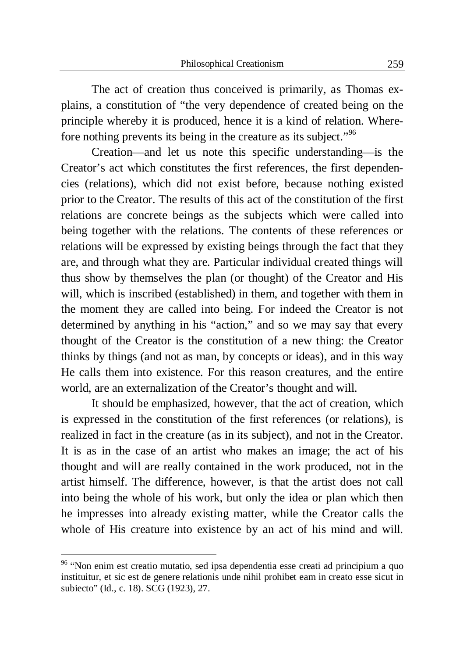The act of creation thus conceived is primarily, as Thomas explains, a constitution of "the very dependence of created being on the principle whereby it is produced, hence it is a kind of relation. Wherefore nothing prevents its being in the creature as its subject."<sup>96</sup>

Creation—and let us note this specific understanding—is the Creator's act which constitutes the first references, the first dependencies (relations), which did not exist before, because nothing existed prior to the Creator. The results of this act of the constitution of the first relations are concrete beings as the subjects which were called into being together with the relations. The contents of these references or relations will be expressed by existing beings through the fact that they are, and through what they are. Particular individual created things will thus show by themselves the plan (or thought) of the Creator and His will, which is inscribed (established) in them, and together with them in the moment they are called into being. For indeed the Creator is not determined by anything in his "action," and so we may say that every thought of the Creator is the constitution of a new thing: the Creator thinks by things (and not as man, by concepts or ideas), and in this way He calls them into existence. For this reason creatures, and the entire world, are an externalization of the Creator's thought and will.

It should be emphasized, however, that the act of creation, which is expressed in the constitution of the first references (or relations), is realized in fact in the creature (as in its subject), and not in the Creator. It is as in the case of an artist who makes an image; the act of his thought and will are really contained in the work produced, not in the artist himself. The difference, however, is that the artist does not call into being the whole of his work, but only the idea or plan which then he impresses into already existing matter, while the Creator calls the whole of His creature into existence by an act of his mind and will.

<sup>96</sup> "Non enim est creatio mutatio, sed ipsa dependentia esse creati ad principium a quo instituitur, et sic est de genere relationis unde nihil prohibet eam in creato esse sicut in subiecto" (Id., c. 18). SCG (1923), 27.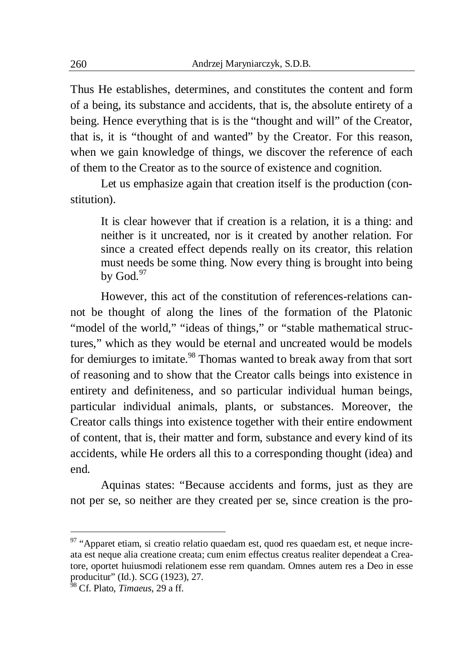Thus He establishes, determines, and constitutes the content and form of a being, its substance and accidents, that is, the absolute entirety of a being. Hence everything that is is the "thought and will" of the Creator, that is, it is "thought of and wanted" by the Creator. For this reason, when we gain knowledge of things, we discover the reference of each of them to the Creator as to the source of existence and cognition.

Let us emphasize again that creation itself is the production (constitution).

It is clear however that if creation is a relation, it is a thing: and neither is it uncreated, nor is it created by another relation. For since a created effect depends really on its creator, this relation must needs be some thing. Now every thing is brought into being by  $Good.<sup>97</sup>$ 

However, this act of the constitution of references-relations cannot be thought of along the lines of the formation of the Platonic "model of the world," "ideas of things," or "stable mathematical structures," which as they would be eternal and uncreated would be models for demiurges to imitate.<sup>98</sup> Thomas wanted to break away from that sort of reasoning and to show that the Creator calls beings into existence in entirety and definiteness, and so particular individual human beings, particular individual animals, plants, or substances. Moreover, the Creator calls things into existence together with their entire endowment of content, that is, their matter and form, substance and every kind of its accidents, while He orders all this to a corresponding thought (idea) and end.

Aquinas states: "Because accidents and forms, just as they are not per se, so neither are they created per se, since creation is the pro-

<sup>97 &</sup>quot;Apparet etiam, si creatio relatio quaedam est, quod res quaedam est, et neque increata est neque alia creatione creata; cum enim effectus creatus realiter dependeat a Creatore, oportet huiusmodi relationem esse rem quandam. Omnes autem res a Deo in esse producitur" (Id.). SCG (1923), 27.

<sup>98</sup> Cf. Plato, *Timaeus*, 29 a ff.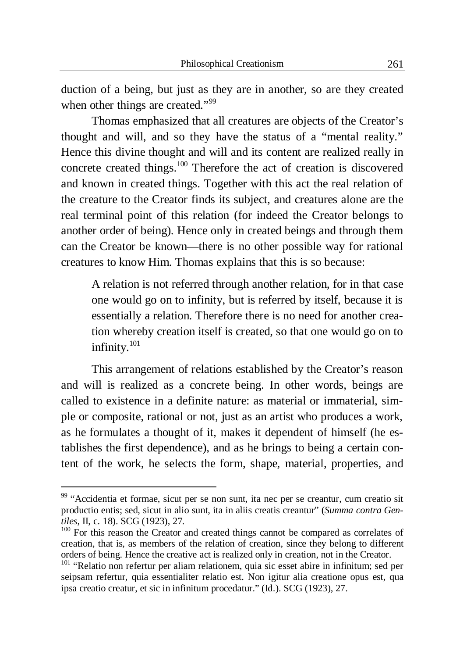duction of a being, but just as they are in another, so are they created when other things are created."<sup>99</sup>

Thomas emphasized that all creatures are objects of the Creator's thought and will, and so they have the status of a "mental reality." Hence this divine thought and will and its content are realized really in concrete created things.<sup>100</sup> Therefore the act of creation is discovered and known in created things. Together with this act the real relation of the creature to the Creator finds its subject, and creatures alone are the real terminal point of this relation (for indeed the Creator belongs to another order of being). Hence only in created beings and through them can the Creator be known—there is no other possible way for rational creatures to know Him. Thomas explains that this is so because:

A relation is not referred through another relation, for in that case one would go on to infinity, but is referred by itself, because it is essentially a relation. Therefore there is no need for another creation whereby creation itself is created, so that one would go on to infinity.<sup>101</sup>

This arrangement of relations established by the Creator's reason and will is realized as a concrete being. In other words, beings are called to existence in a definite nature: as material or immaterial, simple or composite, rational or not, just as an artist who produces a work, as he formulates a thought of it, makes it dependent of himself (he establishes the first dependence), and as he brings to being a certain content of the work, he selects the form, shape, material, properties, and

1

<sup>&</sup>lt;sup>99</sup> "Accidentia et formae, sicut per se non sunt, ita nec per se creantur, cum creatio sit productio entis; sed, sicut in alio sunt, ita in aliis creatis creantur" (*Summa contra Gentiles*, II, c. 18). SCG (1923), 27.

<sup>&</sup>lt;sup>100</sup> For this reason the Creator and created things cannot be compared as correlates of creation, that is, as members of the relation of creation, since they belong to different orders of being. Hence the creative act is realized only in creation, not in the Creator.

<sup>&</sup>lt;sup>101</sup> "Relatio non refertur per aliam relationem, quia sic esset abire in infinitum; sed per seipsam refertur, quia essentialiter relatio est. Non igitur alia creatione opus est, qua ipsa creatio creatur, et sic in infinitum procedatur." (Id.). SCG (1923), 27.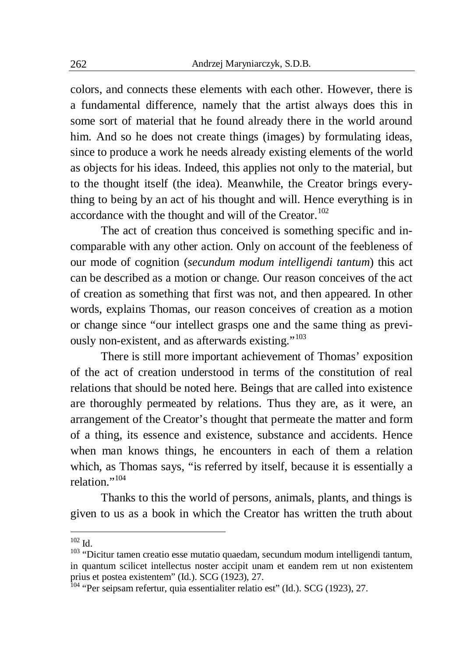colors, and connects these elements with each other. However, there is a fundamental difference, namely that the artist always does this in some sort of material that he found already there in the world around him. And so he does not create things (images) by formulating ideas, since to produce a work he needs already existing elements of the world as objects for his ideas. Indeed, this applies not only to the material, but to the thought itself (the idea). Meanwhile, the Creator brings everything to being by an act of his thought and will. Hence everything is in accordance with the thought and will of the Creator.<sup>102</sup>

The act of creation thus conceived is something specific and incomparable with any other action. Only on account of the feebleness of our mode of cognition (*secundum modum intelligendi tantum*) this act can be described as a motion or change. Our reason conceives of the act of creation as something that first was not, and then appeared. In other words, explains Thomas, our reason conceives of creation as a motion or change since "our intellect grasps one and the same thing as previously non-existent, and as afterwards existing."<sup>103</sup>

There is still more important achievement of Thomas' exposition of the act of creation understood in terms of the constitution of real relations that should be noted here. Beings that are called into existence are thoroughly permeated by relations. Thus they are, as it were, an arrangement of the Creator's thought that permeate the matter and form of a thing, its essence and existence, substance and accidents. Hence when man knows things, he encounters in each of them a relation which, as Thomas says, "is referred by itself, because it is essentially a  $relation$ <sup>"104</sup>

Thanks to this the world of persons, animals, plants, and things is given to us as a book in which the Creator has written the truth about

<sup>&</sup>lt;u>.</u>  $102$  Id.

<sup>&</sup>lt;sup>103</sup> "Dicitur tamen creatio esse mutatio quaedam, secundum modum intelligendi tantum, in quantum scilicet intellectus noster accipit unam et eandem rem ut non existentem prius et postea existentem" (Id.). SCG (1923), 27.

<sup>&</sup>lt;sup>104</sup> "Per seipsam refertur, quia essentialiter relatio est" (Id.). SCG (1923), 27.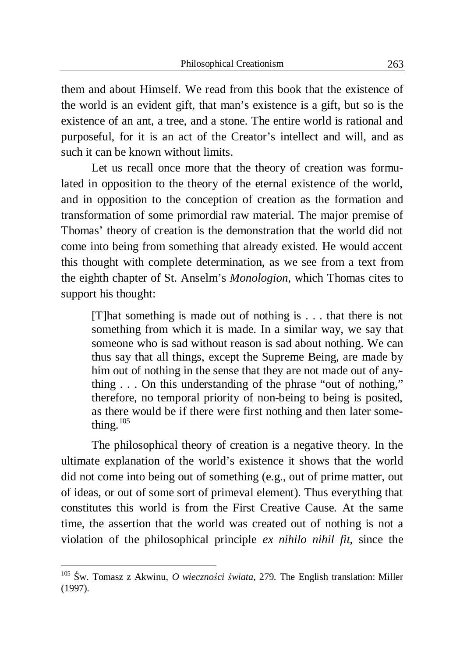them and about Himself. We read from this book that the existence of the world is an evident gift, that man's existence is a gift, but so is the existence of an ant, a tree, and a stone. The entire world is rational and purposeful, for it is an act of the Creator's intellect and will, and as such it can be known without limits.

Let us recall once more that the theory of creation was formulated in opposition to the theory of the eternal existence of the world, and in opposition to the conception of creation as the formation and transformation of some primordial raw material. The major premise of Thomas' theory of creation is the demonstration that the world did not come into being from something that already existed. He would accent this thought with complete determination, as we see from a text from the eighth chapter of St. Anselm's *Monologion*, which Thomas cites to support his thought:

[T]hat something is made out of nothing is . . . that there is not something from which it is made. In a similar way, we say that someone who is sad without reason is sad about nothing. We can thus say that all things, except the Supreme Being, are made by him out of nothing in the sense that they are not made out of anything . . . On this understanding of the phrase "out of nothing," therefore, no temporal priority of non-being to being is posited, as there would be if there were first nothing and then later something. $105$ 

The philosophical theory of creation is a negative theory. In the ultimate explanation of the world's existence it shows that the world did not come into being out of something (e.g., out of prime matter, out of ideas, or out of some sort of primeval element). Thus everything that constitutes this world is from the First Creative Cause. At the same time, the assertion that the world was created out of nothing is not a violation of the philosophical principle *ex nihilo nihil fit*, since the

<sup>105</sup> ĝw. Tomasz z Akwinu, *O wiecznoĞci Ğwiata*, 279. The English translation: Miller (1997).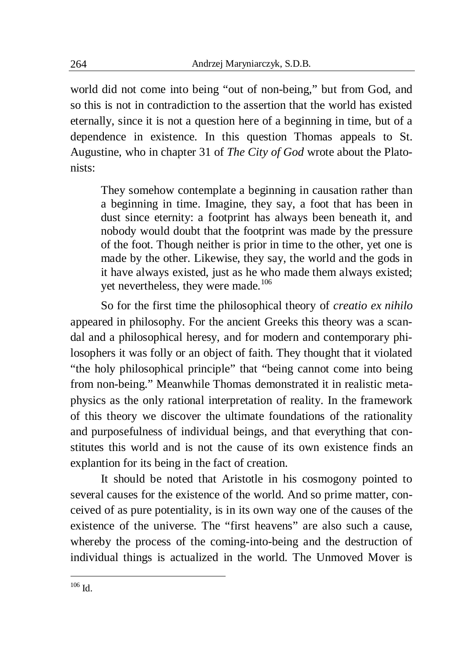world did not come into being "out of non-being," but from God, and so this is not in contradiction to the assertion that the world has existed eternally, since it is not a question here of a beginning in time, but of a dependence in existence. In this question Thomas appeals to St. Augustine, who in chapter 31 of *The City of God* wrote about the Platonists:

They somehow contemplate a beginning in causation rather than a beginning in time. Imagine, they say, a foot that has been in dust since eternity: a footprint has always been beneath it, and nobody would doubt that the footprint was made by the pressure of the foot. Though neither is prior in time to the other, yet one is made by the other. Likewise, they say, the world and the gods in it have always existed, just as he who made them always existed; yet nevertheless, they were made.<sup>106</sup>

So for the first time the philosophical theory of *creatio ex nihilo* appeared in philosophy. For the ancient Greeks this theory was a scandal and a philosophical heresy, and for modern and contemporary philosophers it was folly or an object of faith. They thought that it violated "the holy philosophical principle" that "being cannot come into being from non-being." Meanwhile Thomas demonstrated it in realistic metaphysics as the only rational interpretation of reality. In the framework of this theory we discover the ultimate foundations of the rationality and purposefulness of individual beings, and that everything that constitutes this world and is not the cause of its own existence finds an explantion for its being in the fact of creation.

It should be noted that Aristotle in his cosmogony pointed to several causes for the existence of the world. And so prime matter, conceived of as pure potentiality, is in its own way one of the causes of the existence of the universe. The "first heavens" are also such a cause, whereby the process of the coming-into-being and the destruction of individual things is actualized in the world. The Unmoved Mover is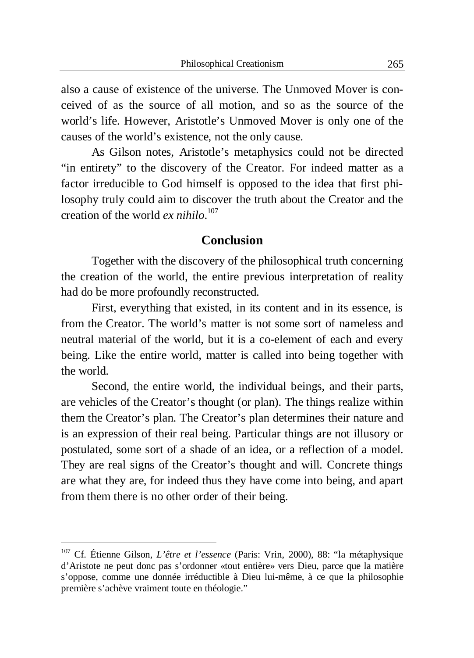also a cause of existence of the universe. The Unmoved Mover is conceived of as the source of all motion, and so as the source of the world's life. However, Aristotle's Unmoved Mover is only one of the causes of the world's existence, not the only cause.

As Gilson notes, Aristotle's metaphysics could not be directed "in entirety" to the discovery of the Creator. For indeed matter as a factor irreducible to God himself is opposed to the idea that first philosophy truly could aim to discover the truth about the Creator and the creation of the world *ex nihilo*. 107

#### **Conclusion**

Together with the discovery of the philosophical truth concerning the creation of the world, the entire previous interpretation of reality had do be more profoundly reconstructed.

First, everything that existed, in its content and in its essence, is from the Creator. The world's matter is not some sort of nameless and neutral material of the world, but it is a co-element of each and every being. Like the entire world, matter is called into being together with the world.

Second, the entire world, the individual beings, and their parts, are vehicles of the Creator's thought (or plan). The things realize within them the Creator's plan. The Creator's plan determines their nature and is an expression of their real being. Particular things are not illusory or postulated, some sort of a shade of an idea, or a reflection of a model. They are real signs of the Creator's thought and will. Concrete things are what they are, for indeed thus they have come into being, and apart from them there is no other order of their being.

<sup>107</sup> Cf. Étienne Gilson, *L'être et l'essence* (Paris: Vrin, 2000), 88: "la métaphysique d'Aristote ne peut donc pas s'ordonner «tout entière» vers Dieu, parce que la matière s'oppose, comme une donnée irréductible à Dieu lui-même, à ce que la philosophie première s'achève vraiment toute en théologie."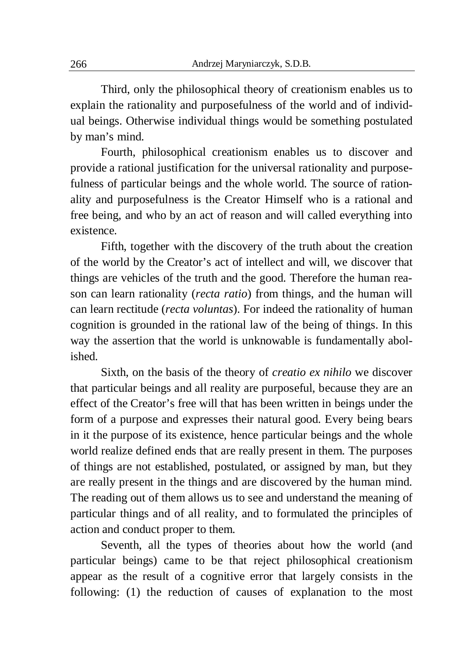Third, only the philosophical theory of creationism enables us to explain the rationality and purposefulness of the world and of individual beings. Otherwise individual things would be something postulated by man's mind.

Fourth, philosophical creationism enables us to discover and provide a rational justification for the universal rationality and purposefulness of particular beings and the whole world. The source of rationality and purposefulness is the Creator Himself who is a rational and free being, and who by an act of reason and will called everything into existence.

Fifth, together with the discovery of the truth about the creation of the world by the Creator's act of intellect and will, we discover that things are vehicles of the truth and the good. Therefore the human reason can learn rationality (*recta ratio*) from things, and the human will can learn rectitude (*recta voluntas*). For indeed the rationality of human cognition is grounded in the rational law of the being of things. In this way the assertion that the world is unknowable is fundamentally abolished.

Sixth, on the basis of the theory of *creatio ex nihilo* we discover that particular beings and all reality are purposeful, because they are an effect of the Creator's free will that has been written in beings under the form of a purpose and expresses their natural good. Every being bears in it the purpose of its existence, hence particular beings and the whole world realize defined ends that are really present in them. The purposes of things are not established, postulated, or assigned by man, but they are really present in the things and are discovered by the human mind. The reading out of them allows us to see and understand the meaning of particular things and of all reality, and to formulated the principles of action and conduct proper to them.

Seventh, all the types of theories about how the world (and particular beings) came to be that reject philosophical creationism appear as the result of a cognitive error that largely consists in the following: (1) the reduction of causes of explanation to the most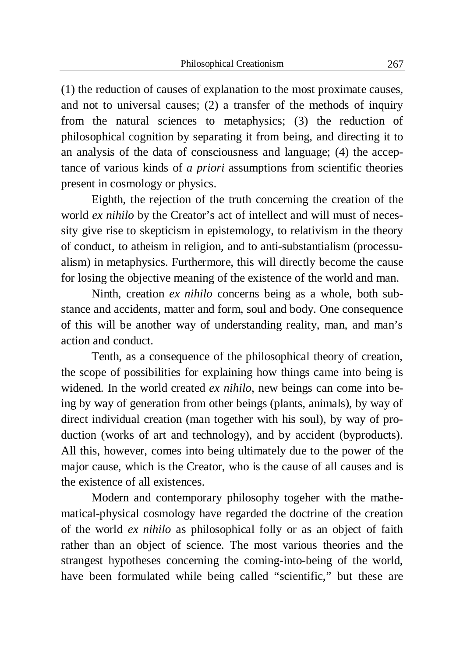(1) the reduction of causes of explanation to the most proximate causes, and not to universal causes; (2) a transfer of the methods of inquiry from the natural sciences to metaphysics; (3) the reduction of philosophical cognition by separating it from being, and directing it to an analysis of the data of consciousness and language; (4) the acceptance of various kinds of *a priori* assumptions from scientific theories present in cosmology or physics.

Eighth, the rejection of the truth concerning the creation of the world *ex nihilo* by the Creator's act of intellect and will must of necessity give rise to skepticism in epistemology, to relativism in the theory of conduct, to atheism in religion, and to anti-substantialism (processualism) in metaphysics. Furthermore, this will directly become the cause for losing the objective meaning of the existence of the world and man.

Ninth, creation *ex nihilo* concerns being as a whole, both substance and accidents, matter and form, soul and body. One consequence of this will be another way of understanding reality, man, and man's action and conduct.

Tenth, as a consequence of the philosophical theory of creation, the scope of possibilities for explaining how things came into being is widened. In the world created *ex nihilo*, new beings can come into being by way of generation from other beings (plants, animals), by way of direct individual creation (man together with his soul), by way of production (works of art and technology), and by accident (byproducts). All this, however, comes into being ultimately due to the power of the major cause, which is the Creator, who is the cause of all causes and is the existence of all existences.

Modern and contemporary philosophy togeher with the mathematical-physical cosmology have regarded the doctrine of the creation of the world *ex nihilo* as philosophical folly or as an object of faith rather than an object of science. The most various theories and the strangest hypotheses concerning the coming-into-being of the world, have been formulated while being called "scientific," but these are